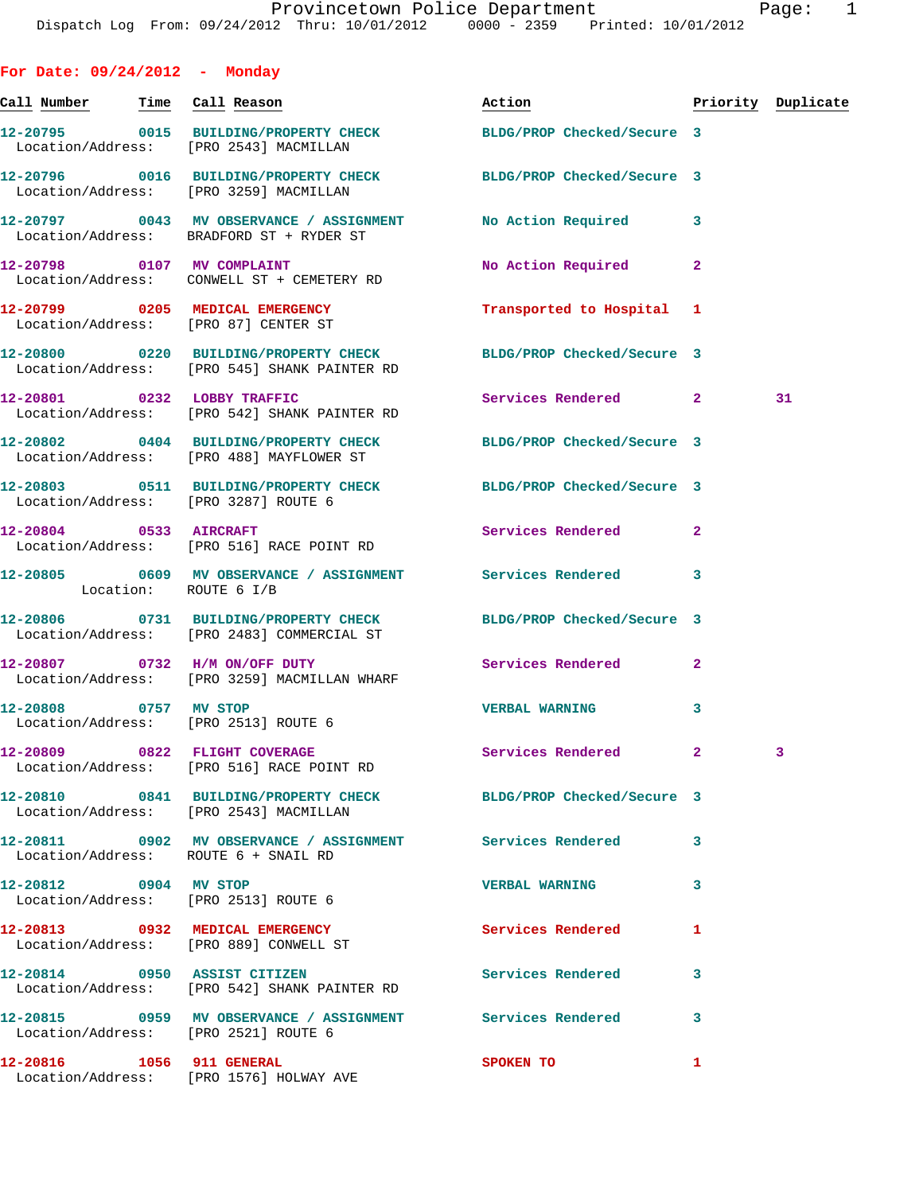**For Date: 09/24/2012 - Monday** Call Number Time Call Reason **Reason Action Action** Priority Duplicate **12-20795 0015 BUILDING/PROPERTY CHECK BLDG/PROP Checked/Secure 3**  Location/Address: [PRO 2543] MACMILLAN **12-20796 0016 BUILDING/PROPERTY CHECK BLDG/PROP Checked/Secure 3**  Location/Address: [PRO 3259] MACMILLAN **12-20797 0043 MV OBSERVANCE / ASSIGNMENT No Action Required 3**  Location/Address: BRADFORD ST + RYDER ST **12-20798 0107 MV COMPLAINT No Action Required 2**  Location/Address: CONWELL ST + CEMETERY RD **12-20799 0205 MEDICAL EMERGENCY Transported to Hospital 1**  Location/Address: [PRO 87] CENTER ST **12-20800 0220 BUILDING/PROPERTY CHECK BLDG/PROP Checked/Secure 3**  Location/Address: [PRO 545] SHANK PAINTER RD **12-20801 0232 LOBBY TRAFFIC Services Rendered 2 31**  Location/Address: [PRO 542] SHANK PAINTER RD **12-20802 0404 BUILDING/PROPERTY CHECK BLDG/PROP Checked/Secure 3**  Location/Address: [PRO 488] MAYFLOWER ST **12-20803 0511 BUILDING/PROPERTY CHECK BLDG/PROP Checked/Secure 3**  Location/Address: [PRO 3287] ROUTE 6 **12-20804 0533 AIRCRAFT Services Rendered 2**  Location/Address: [PRO 516] RACE POINT RD **12-20805 0609 MV OBSERVANCE / ASSIGNMENT Services Rendered 3**  Location: ROUTE 6 I/B **12-20806 0731 BUILDING/PROPERTY CHECK BLDG/PROP Checked/Secure 3**  Location/Address: [PRO 2483] COMMERCIAL ST **12-20807 0732 H/M ON/OFF DUTY Services Rendered 2**  Location/Address: [PRO 3259] MACMILLAN WHARF **12-20808 0757 MV STOP VERBAL WARNING 3**  Location/Address: [PRO 2513] ROUTE 6 **12-20809 0822 FLIGHT COVERAGE Services Rendered 2 3**  Location/Address: [PRO 516] RACE POINT RD **12-20810 0841 BUILDING/PROPERTY CHECK BLDG/PROP Checked/Secure 3**  Location/Address: [PRO 2543] MACMILLAN **12-20811 0902 MV OBSERVANCE / ASSIGNMENT Services Rendered 3**  Location/Address: ROUTE 6 + SNAIL RD **12-20812 0904 MV STOP VERBAL WARNING 3**  Location/Address: [PRO 2513] ROUTE 6 **12-20813 0932 MEDICAL EMERGENCY Services Rendered 1**  Location/Address: [PRO 889] CONWELL ST **12-20814 0950 ASSIST CITIZEN Services Rendered 3**  Location/Address: [PRO 542] SHANK PAINTER RD **12-20815 0959 MV OBSERVANCE / ASSIGNMENT Services Rendered 3**  Location/Address: [PRO 2521] ROUTE 6

**12-20816 1056 911 GENERAL SPOKEN TO 1**  Location/Address: [PRO 1576] HOLWAY AVE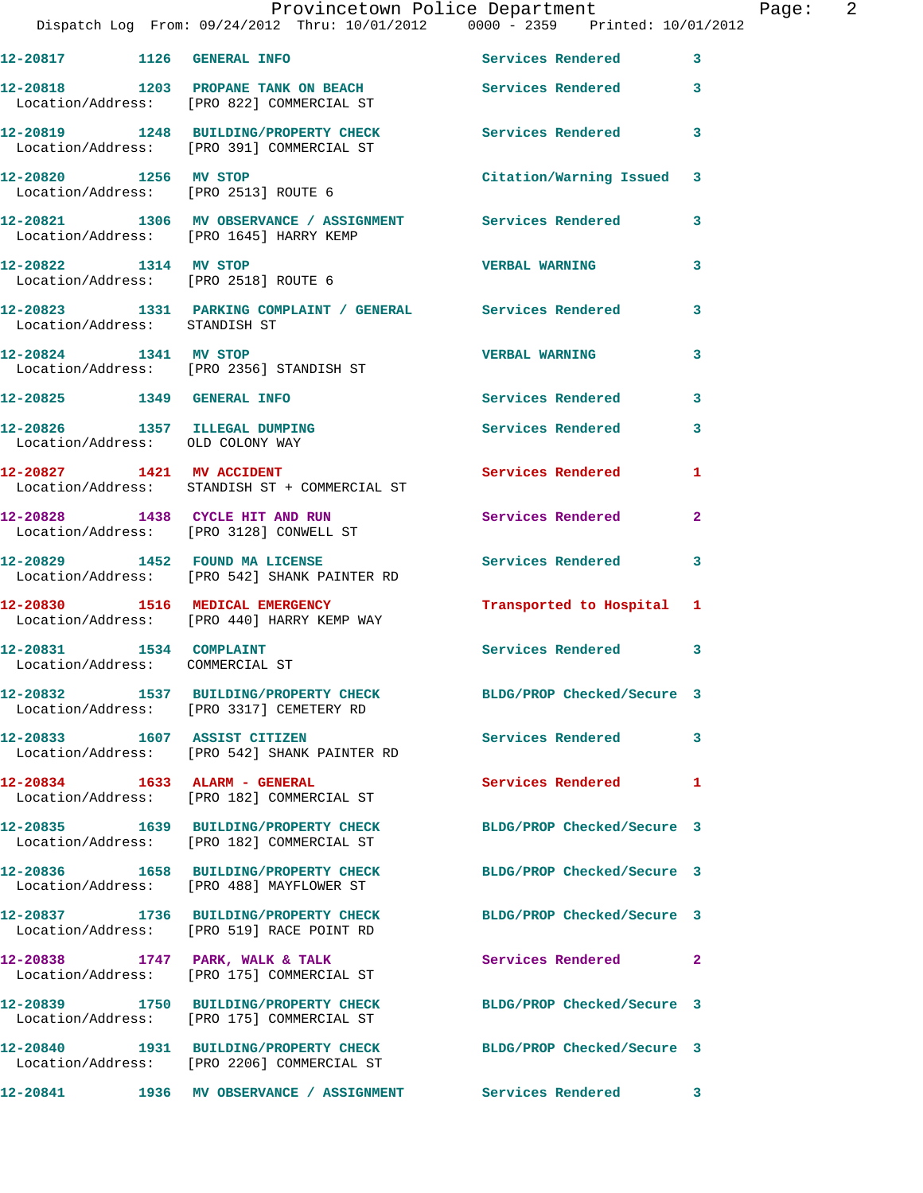|                                                            | Dispatch Log From: 09/24/2012 Thru: 10/01/2012 0000 - 2359 Printed: 10/01/2012                                 | Provincetown Police Department | Page: 2      |
|------------------------------------------------------------|----------------------------------------------------------------------------------------------------------------|--------------------------------|--------------|
|                                                            | 12-20817 1126 GENERAL INFO Services Rendered 3                                                                 |                                |              |
|                                                            | 12-20818 1203 PROPANE TANK ON BEACH Services Rendered 3<br>Location/Address: [PRO 822] COMMERCIAL ST           |                                |              |
|                                                            | 12-20819 1248 BUILDING/PROPERTY CHECK Services Rendered 3<br>Location/Address: [PRO 391] COMMERCIAL ST         |                                |              |
| 12-20820 1256 MV STOP                                      | Location/Address: [PRO 2513] ROUTE 6                                                                           | Citation/Warning Issued 3      |              |
|                                                            | 12-20821 1306 MV OBSERVANCE / ASSIGNMENT Services Rendered 3<br>Location/Address: [PRO 1645] HARRY KEMP        |                                |              |
| 12-20822 1314 MV STOP                                      | Location/Address: [PRO 2518] ROUTE 6                                                                           | <b>VERBAL WARNING</b>          | 3            |
|                                                            | 12-20823 1331 PARKING COMPLAINT / GENERAL Services Rendered 3<br>Location/Address: STANDISH ST                 |                                |              |
| 12-20824 1341 MV STOP                                      | Location/Address: [PRO 2356] STANDISH ST                                                                       | <b>VERBAL WARNING</b>          | 3            |
|                                                            | 12-20825 1349 GENERAL INFO                                                                                     | Services Rendered 3            |              |
| Location/Address: OLD COLONY WAY                           | 12-20826 1357 ILLEGAL DUMPING                                                                                  | Services Rendered              | $\mathbf{3}$ |
|                                                            | 12-20827 1421 MV ACCIDENT<br>Location/Address: STANDISH ST + COMMERCIAL ST                                     | Services Rendered 1            |              |
|                                                            | 12-20828 1438 CYCLE HIT AND RUN<br>Location/Address: [PRO 3128] CONWELL ST                                     | Services Rendered              | $\mathbf{2}$ |
|                                                            | 12-20829 1452 FOUND MA LICENSE<br>Location/Address: [PRO 542] SHANK PAINTER RD                                 | Services Rendered 3            |              |
|                                                            | 12-20830 1516 MEDICAL EMERGENCY<br>Location/Address: [PRO 440] HARRY KEMP WAY                                  | Transported to Hospital 1      |              |
| 12-20831 1534 COMPLAINT<br>Location/Address: COMMERCIAL ST |                                                                                                                | Services Rendered 3            |              |
|                                                            | 12-20832 1537 BUILDING/PROPERTY CHECK BLDG/PROP Checked/Secure 3<br>Location/Address: [PRO 3317] CEMETERY RD   |                                |              |
|                                                            | 12-20833 1607 ASSIST CITIZEN<br>Location/Address: [PRO 542] SHANK PAINTER RD                                   | <b>Services Rendered</b>       | 3            |
| 12-20834 1633 ALARM - GENERAL                              | Location/Address: [PRO 182] COMMERCIAL ST                                                                      | Services Rendered 1            |              |
|                                                            | 12-20835 1639 BUILDING/PROPERTY CHECK<br>Location/Address: [PRO 182] COMMERCIAL ST                             | BLDG/PROP Checked/Secure 3     |              |
|                                                            | 12-20836 1658 BUILDING/PROPERTY CHECK BLDG/PROP Checked/Secure 3<br>Location/Address: [PRO 488] MAYFLOWER ST   |                                |              |
|                                                            | 12-20837 1736 BUILDING/PROPERTY CHECK<br>Location/Address: [PRO 519] RACE POINT RD                             | BLDG/PROP Checked/Secure 3     |              |
|                                                            | 12-20838 1747 PARK, WALK & TALK<br>Location/Address: [PRO 175] COMMERCIAL ST                                   | Services Rendered 2            |              |
|                                                            | 12-20839 1750 BUILDING/PROPERTY CHECK<br>Location/Address: [PRO 175] COMMERCIAL ST                             | BLDG/PROP Checked/Secure 3     |              |
|                                                            | 12-20840 1931 BUILDING/PROPERTY CHECK BLDG/PROP Checked/Secure 3<br>Location/Address: [PRO 2206] COMMERCIAL ST |                                |              |
| 12-20841                                                   | 1936 MV OBSERVANCE / ASSIGNMENT                                                                                | Services Rendered 3            |              |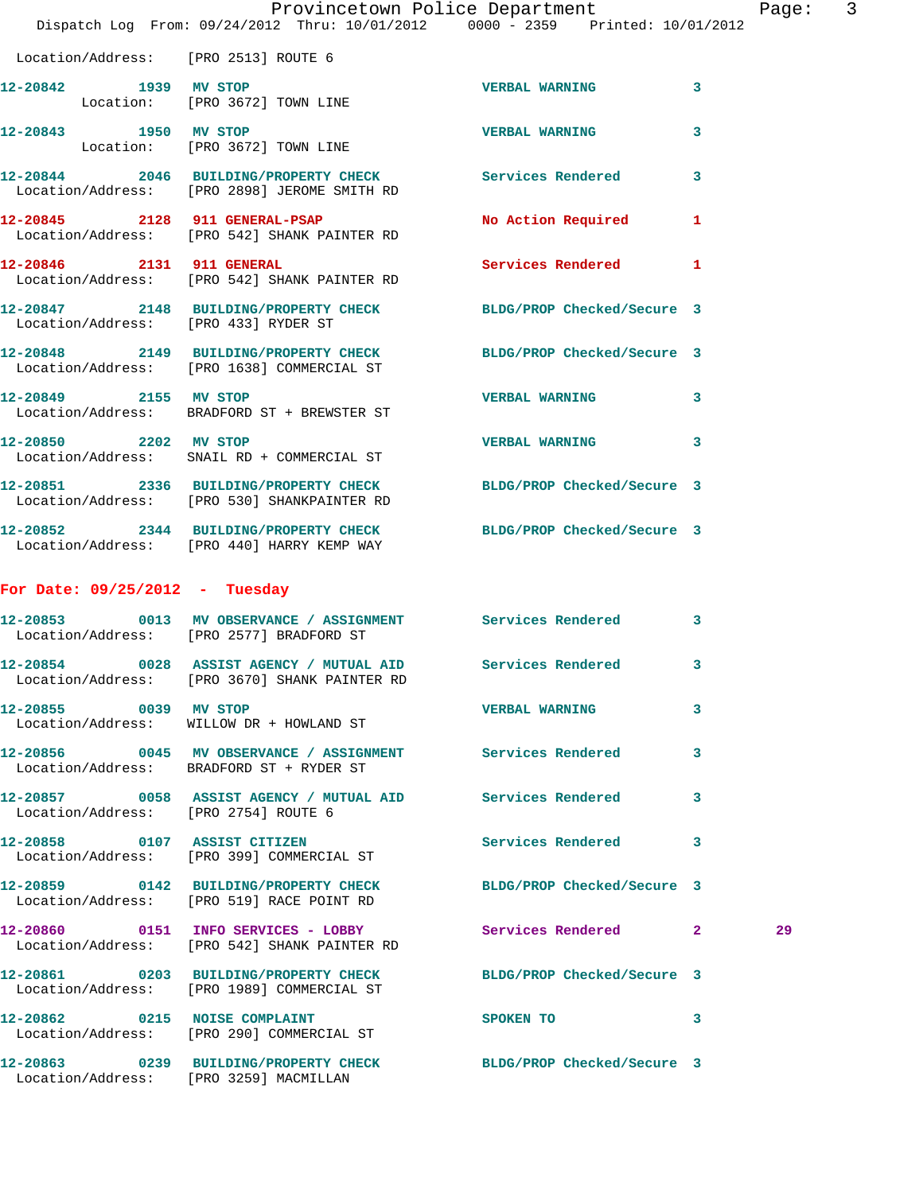|                                      | Dispatch Log From: 09/24/2012 Thru: 10/01/2012 0000 - 2359 Printed: 10/01/2012                                 | Provincetown Police Department |   | Page |
|--------------------------------------|----------------------------------------------------------------------------------------------------------------|--------------------------------|---|------|
| Location/Address: [PRO 2513] ROUTE 6 |                                                                                                                |                                |   |      |
| 12-20842 1939 MV STOP                | Location: [PRO 3672] TOWN LINE                                                                                 | <b>VERBAL WARNING</b>          | 3 |      |
| 12-20843 1950 MV STOP                | Location: [PRO 3672] TOWN LINE                                                                                 | <b>VERBAL WARNING</b>          | 3 |      |
|                                      | 12-20844 2046 BUILDING/PROPERTY CHECK Services Rendered<br>Location/Address: [PRO 2898] JEROME SMITH RD        |                                | 3 |      |
|                                      | 12-20845 2128 911 GENERAL-PSAP<br>Location/Address: [PRO 542] SHANK PAINTER RD                                 | No Action Required             | 1 |      |
| 12-20846 2131 911 GENERAL            | Location/Address: [PRO 542] SHANK PAINTER RD                                                                   | Services Rendered              | 1 |      |
| Location/Address: [PRO 433] RYDER ST | 12-20847 2148 BUILDING/PROPERTY CHECK BLDG/PROP Checked/Secure 3                                               |                                |   |      |
|                                      | 12-20848 2149 BUILDING/PROPERTY CHECK BLDG/PROP Checked/Secure 3<br>Location/Address: [PRO 1638] COMMERCIAL ST |                                |   |      |
|                                      | 12-20849 2155 MV STOP<br>Location/Address: BRADFORD ST + BREWSTER ST                                           | <b>VERBAL WARNING</b>          | 3 |      |
| 12-20850 2202 MV STOP                | Location/Address: SNAIL RD + COMMERCIAL ST                                                                     | <b>VERBAL WARNING</b>          | 3 |      |
|                                      | 12-20851 2336 BUILDING/PROPERTY CHECK<br>Location/Address: [PRO 530] SHANKPAINTER RD                           | BLDG/PROP Checked/Secure 3     |   |      |
|                                      | 12-20852 2344 BUILDING/PROPERTY CHECK BLDG/PROP Checked/Secure 3<br>Location/Address: [PRO 440] HARRY KEMP WAY |                                |   |      |
| For Date: $09/25/2012$ - Tuesday     |                                                                                                                |                                |   |      |
|                                      | 12-20853 0013 MV OBSERVANCE / ASSIGNMENT Services Rendered<br>Location/Address: [PRO 2577] BRADFORD ST         |                                | 3 |      |
|                                      | 12-20854 0028 ASSIST AGENCY / MUTUAL AID Services Rendered 3<br>Location/Address: [PRO 3670] SHANK PAINTER RD  |                                |   |      |
| 12-20855 0039 MV STOP                | Location/Address: WILLOW DR + HOWLAND ST                                                                       | <b>VERBAL WARNING</b>          | 3 |      |
|                                      | 12-20856 0045 MV OBSERVANCE / ASSIGNMENT Services Rendered<br>Location/Address: BRADFORD ST + RYDER ST         |                                | 3 |      |
| Location/Address: [PRO 2754] ROUTE 6 | 12-20857 0058 ASSIST AGENCY / MUTUAL AID Services Rendered                                                     |                                | 3 |      |
|                                      | 12-20858 0107 ASSIST CITIZEN<br>Location/Address: [PRO 399] COMMERCIAL ST                                      | Services Rendered              | 3 |      |
|                                      | 12-20859 0142 BUILDING/PROPERTY CHECK BLDG/PROP Checked/Secure 3<br>Location/Address: [PRO 519] RACE POINT RD  |                                |   |      |
|                                      | 12-20860 0151 INFO SERVICES - LOBBY<br>Location/Address: [PRO 542] SHANK PAINTER RD                            | Services Rendered 2            |   | 29   |
|                                      | 12-20861 0203 BUILDING/PROPERTY CHECK BLDG/PROP Checked/Secure 3<br>Location/Address: [PRO 1989] COMMERCIAL ST |                                |   |      |
|                                      | 12-20862 0215 NOISE COMPLAINT<br>Location/Address: [PRO 290] COMMERCIAL ST                                     | SPOKEN TO                      | 3 |      |
|                                      | 12-20863 0239 BUILDING/PROPERTY CHECK<br>Location/Address: [PRO 3259] MACMILLAN                                | BLDG/PROP Checked/Secure 3     |   |      |

age: 3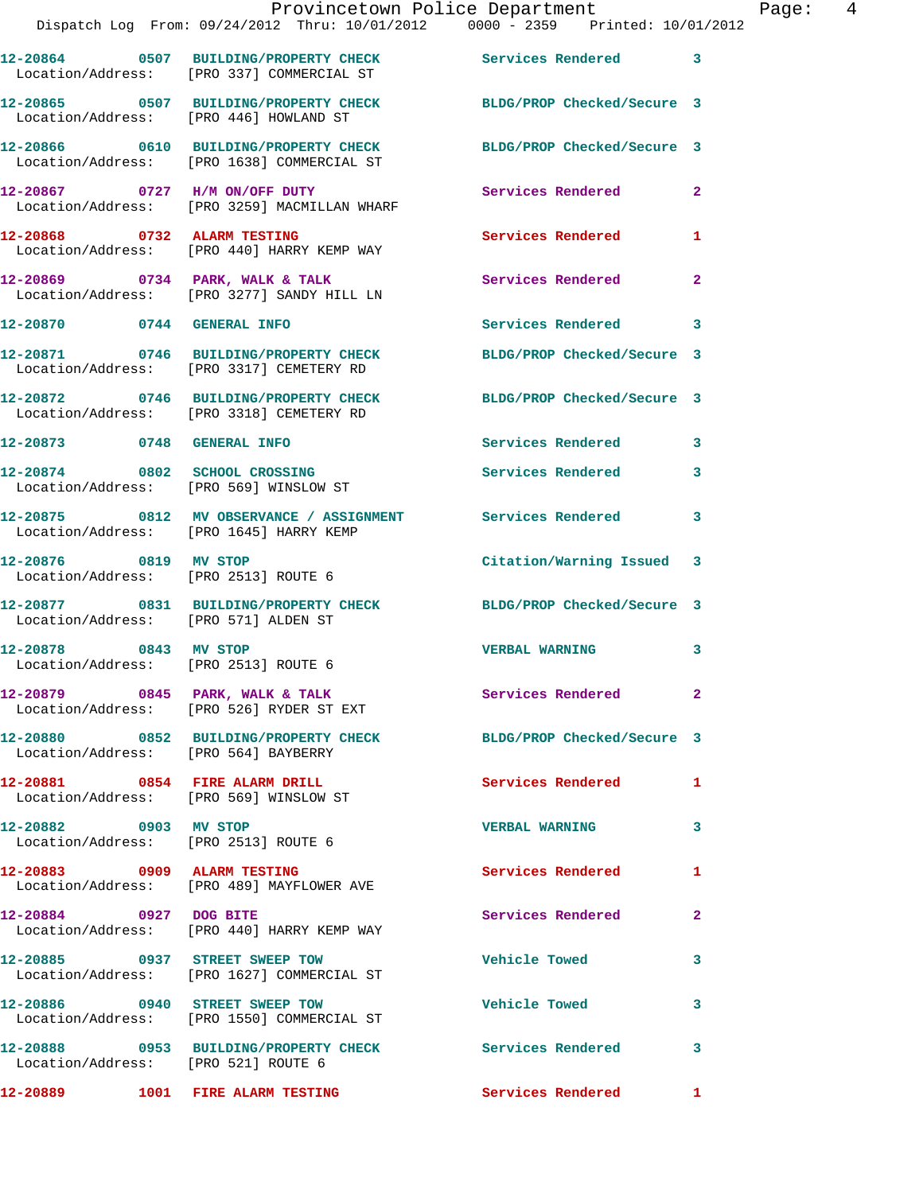|                                                               | Dispatch Log From: 09/24/2012 Thru: 10/01/2012 0000 - 2359 Printed: 10/01/2012                                 | Provincetown Police Department Page: 4 |                |
|---------------------------------------------------------------|----------------------------------------------------------------------------------------------------------------|----------------------------------------|----------------|
|                                                               | 12-20864 0507 BUILDING/PROPERTY CHECK Services Rendered 3<br>Location/Address: [PRO 337] COMMERCIAL ST         |                                        |                |
|                                                               | 12-20865 0507 BUILDING/PROPERTY CHECK BLDG/PROP Checked/Secure 3<br>Location/Address: [PRO 446] HOWLAND ST     |                                        |                |
|                                                               | 12-20866 0610 BUILDING/PROPERTY CHECK BLDG/PROP Checked/Secure 3<br>Location/Address: [PRO 1638] COMMERCIAL ST |                                        |                |
|                                                               | 12-20867   0727   H/M ON/OFF DUTY   Services Rendered   2<br>Location/Address: [PRO 3259] MACMILLAN WHARF      |                                        |                |
|                                                               | 12-20868 0732 ALARM TESTING<br>Location/Address: [PRO 440] HARRY KEMP WAY                                      | Services Rendered 1                    |                |
|                                                               | 12-20869 0734 PARK, WALK & TALK Services Rendered<br>Location/Address: [PRO 3277] SANDY HILL LN                |                                        | $\overline{2}$ |
|                                                               | 12-20870 0744 GENERAL INFO                                                                                     | Services Rendered 3                    |                |
|                                                               | 12-20871 0746 BUILDING/PROPERTY CHECK BLDG/PROP Checked/Secure 3<br>Location/Address: [PRO 3317] CEMETERY RD   |                                        |                |
|                                                               | 12-20872 0746 BUILDING/PROPERTY CHECK<br>Location/Address: [PRO 3318] CEMETERY RD                              | BLDG/PROP Checked/Secure 3             |                |
|                                                               | 12-20873 0748 GENERAL INFO                                                                                     | Services Rendered 3                    |                |
| Location/Address: [PRO 569] WINSLOW ST                        | 12-20874 0802 SCHOOL CROSSING                                                                                  | Services Rendered 3                    |                |
|                                                               | 12-20875 0812 MV OBSERVANCE / ASSIGNMENT Services Rendered<br>Location/Address: [PRO 1645] HARRY KEMP          |                                        | $\mathbf{3}$   |
| Location/Address: [PRO 2513] ROUTE 6                          | 12-20876 0819 MV STOP                                                                                          | Citation/Warning Issued 3              |                |
| Location/Address: [PRO 571] ALDEN ST                          | 12-20877 0831 BUILDING/PROPERTY CHECK BLDG/PROP Checked/Secure 3                                               |                                        |                |
| 12-20878 0843 MV STOP<br>Location/Address: [PRO 2513] ROUTE 6 |                                                                                                                | <b>VERBAL WARNING</b>                  | 3              |
|                                                               | 12-20879 0845 PARK, WALK & TALK<br>Location/Address: [PRO 526] RYDER ST EXT                                    | Services Rendered                      | $\mathbf{2}$   |
| Location/Address: [PRO 564] BAYBERRY                          | 12-20880 0852 BUILDING/PROPERTY CHECK BLDG/PROP Checked/Secure 3                                               |                                        |                |
|                                                               | 12-20881 0854 FIRE ALARM DRILL<br>Location/Address: [PRO 569] WINSLOW ST                                       | Services Rendered 1                    |                |
| 12-20882 0903 MV STOP                                         | Location/Address: [PRO 2513] ROUTE 6                                                                           | <b>VERBAL WARNING</b>                  | 3              |
|                                                               | 12-20883 0909 ALARM TESTING<br>Location/Address: [PRO 489] MAYFLOWER AVE                                       | <b>Services Rendered</b>               | 1              |
|                                                               | 12-20884 0927 DOG BITE<br>Location/Address: [PRO 440] HARRY KEMP WAY                                           | Services Rendered                      | 2              |
|                                                               | 12-20885 0937 STREET SWEEP TOW<br>Location/Address: [PRO 1627] COMMERCIAL ST                                   | <b>Vehicle Towed</b>                   | 3              |
|                                                               | 12-20886 0940 STREET SWEEP TOW<br>Location/Address: [PRO 1550] COMMERCIAL ST                                   | <b>Vehicle Towed</b>                   | 3              |
| Location/Address: [PRO 521] ROUTE 6                           | 12-20888 0953 BUILDING/PROPERTY CHECK Services Rendered                                                        |                                        | 3              |
|                                                               | 12-20889 1001 FIRE ALARM TESTING                                                                               | Services Rendered 1                    |                |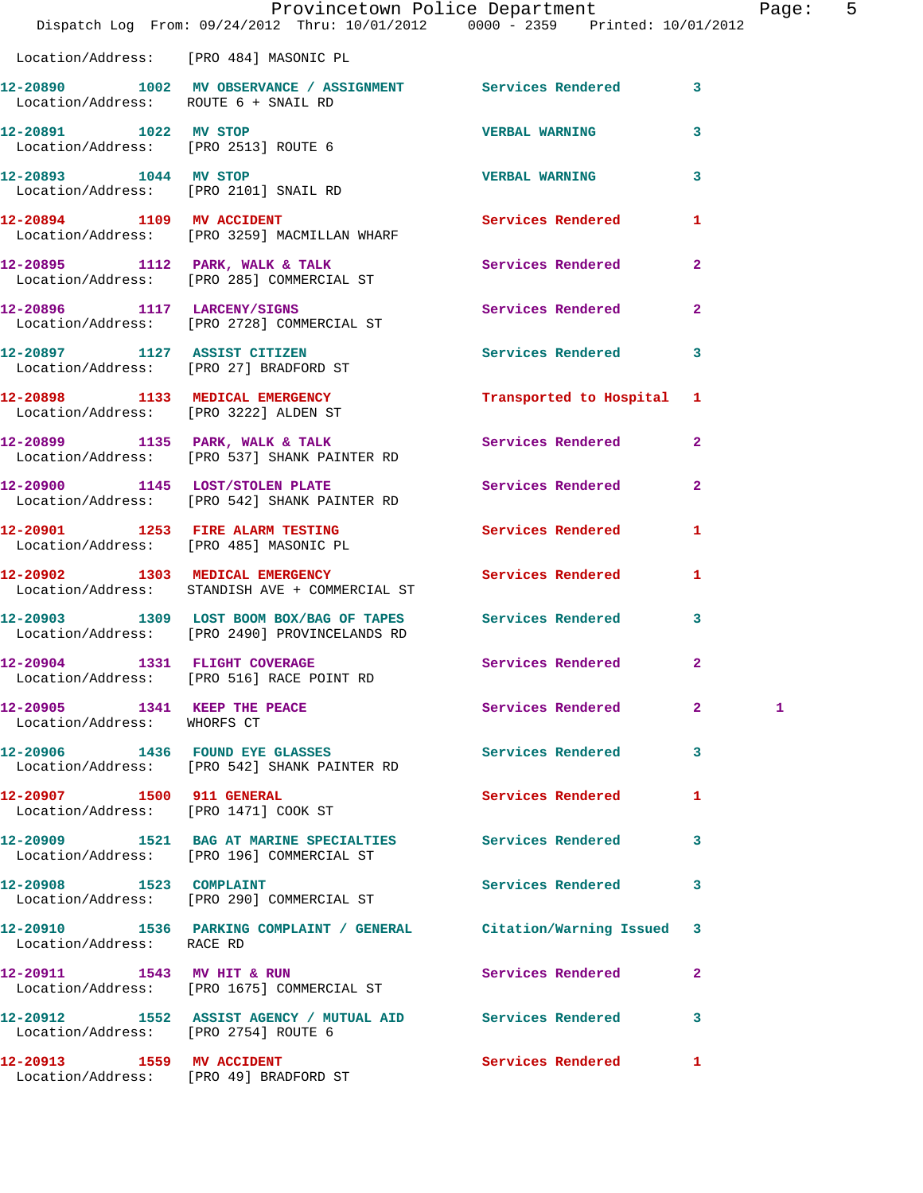|                                                                   | Provincetown Police Department<br>Dispatch Log From: 09/24/2012 Thru: 10/01/2012 0000 - 2359 Printed: 10/01/2012 |                          |                | Pag |
|-------------------------------------------------------------------|------------------------------------------------------------------------------------------------------------------|--------------------------|----------------|-----|
|                                                                   | Location/Address: [PRO 484] MASONIC PL                                                                           |                          |                |     |
| Location/Address: ROUTE 6 + SNAIL RD                              | 12-20890 1002 MV OBSERVANCE / ASSIGNMENT Services Rendered                                                       |                          | 3              |     |
| 12-20891 1022 MV STOP                                             | Location/Address: [PRO 2513] ROUTE 6                                                                             | <b>VERBAL WARNING</b>    | 3              |     |
| 12-20893 1044 MV STOP<br>Location/Address: [PRO 2101] SNAIL RD    |                                                                                                                  | <b>VERBAL WARNING</b>    | 3              |     |
|                                                                   | 12-20894 1109 MV ACCIDENT<br>Location/Address: [PRO 3259] MACMILLAN WHARF                                        | Services Rendered        | 1              |     |
|                                                                   | 12-20895 1112 PARK, WALK & TALK<br>Location/Address: [PRO 285] COMMERCIAL ST                                     | <b>Services Rendered</b> | $\overline{a}$ |     |
|                                                                   | 12-20896 1117 LARCENY/SIGNS<br>Location/Address: [PRO 2728] COMMERCIAL ST                                        | Services Rendered        | $\mathbf{2}$   |     |
|                                                                   | 12-20897 1127 ASSIST CITIZEN<br>Location/Address: [PRO 27] BRADFORD ST                                           | <b>Services Rendered</b> | 3              |     |
| Location/Address: [PRO 3222] ALDEN ST                             | 12-20898 1133 MEDICAL EMERGENCY                                                                                  | Transported to Hospital  | 1              |     |
|                                                                   | 12-20899 1135 PARK, WALK & TALK<br>Location/Address: [PRO 537] SHANK PAINTER RD                                  | Services Rendered        | $\overline{a}$ |     |
|                                                                   | 12-20900 1145 LOST/STOLEN PLATE<br>Location/Address: [PRO 542] SHANK PAINTER RD                                  | Services Rendered        | $\overline{a}$ |     |
|                                                                   | 12-20901 1253 FIRE ALARM TESTING Services Rendered<br>Location/Address: [PRO 485] MASONIC PL                     |                          | 1              |     |
|                                                                   | 12-20902 1303 MEDICAL EMERGENCY<br>Location/Address: STANDISH AVE + COMMERCIAL ST                                | Services Rendered        | 1              |     |
|                                                                   | 12-20903 1309 LOST BOOM BOX/BAG OF TAPES Services Rendered<br>Location/Address: [PRO 2490] PROVINCELANDS RD      |                          | 3              |     |
| 12-20904 1331 FLIGHT COVERAGE                                     | Location/Address: [PRO 516] RACE POINT RD                                                                        | Services Rendered        | $\mathbf{2}$   |     |
| 12-20905 1341 KEEP THE PEACE<br>Location/Address: WHORFS CT       |                                                                                                                  | Services Rendered        | $\overline{2}$ | 1   |
|                                                                   | 12-20906 1436 FOUND EYE GLASSES<br>Location/Address: [PRO 542] SHANK PAINTER RD                                  | Services Rendered        | 3              |     |
| 12-20907 1500 911 GENERAL<br>Location/Address: [PRO 1471] COOK ST |                                                                                                                  | Services Rendered        | 1              |     |
|                                                                   | 12-20909 1521 BAG AT MARINE SPECIALTIES<br>Location/Address: [PRO 196] COMMERCIAL ST                             | <b>Services Rendered</b> | 3              |     |
| 12-20908 1523 COMPLAINT                                           | Location/Address: [PRO 290] COMMERCIAL ST                                                                        | <b>Services Rendered</b> | 3              |     |
| Location/Address: RACE RD                                         | 12-20910 1536 PARKING COMPLAINT / GENERAL Citation/Warning Issued                                                |                          | 3              |     |
|                                                                   | 12-20911 1543 MV HIT & RUN<br>Location/Address: [PRO 1675] COMMERCIAL ST                                         | <b>Services Rendered</b> | $\mathbf{2}$   |     |
| Location/Address: [PRO 2754] ROUTE 6                              | 12-20912 1552 ASSIST AGENCY / MUTUAL AID Services Rendered                                                       |                          | 3              |     |
| 12-20913 1559 MV ACCIDENT                                         |                                                                                                                  | Services Rendered        | 1              |     |

Location/Address: [PRO 49] BRADFORD ST

age: 5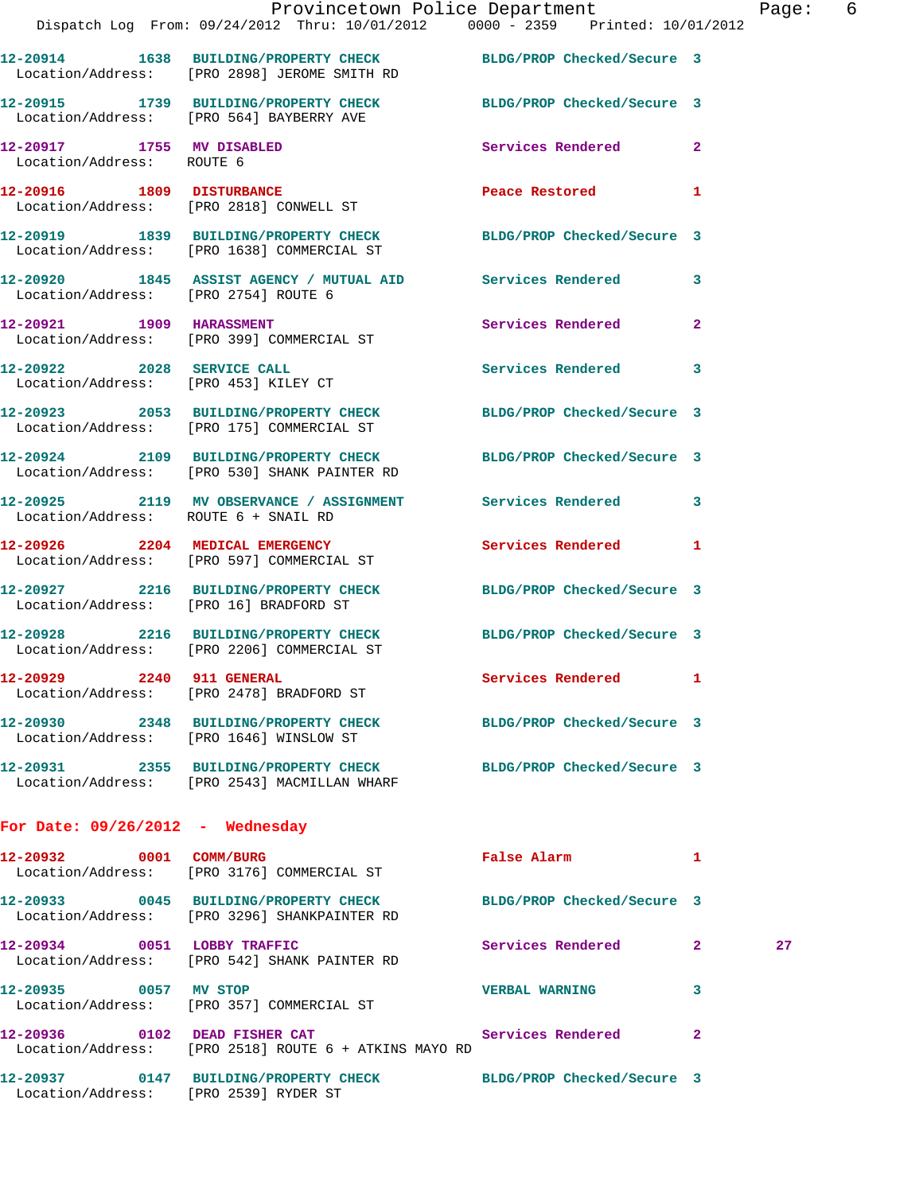|  |                                                                                                                                                                                                                                                                                                                                                                                                                                                                                                                                                                                                                                                                                                                                                                                                                                                                                                                                                                                                                                                                                                                                                                                                                                   |                                                       | Page                                                                                                                                                                                                                                                                                                                                                                                                                                                                                                                                                                                                                                                                                                                                                                                                                                                                                                                                                                                                                                                                                                                                                                                                                                            |
|--|-----------------------------------------------------------------------------------------------------------------------------------------------------------------------------------------------------------------------------------------------------------------------------------------------------------------------------------------------------------------------------------------------------------------------------------------------------------------------------------------------------------------------------------------------------------------------------------------------------------------------------------------------------------------------------------------------------------------------------------------------------------------------------------------------------------------------------------------------------------------------------------------------------------------------------------------------------------------------------------------------------------------------------------------------------------------------------------------------------------------------------------------------------------------------------------------------------------------------------------|-------------------------------------------------------|-------------------------------------------------------------------------------------------------------------------------------------------------------------------------------------------------------------------------------------------------------------------------------------------------------------------------------------------------------------------------------------------------------------------------------------------------------------------------------------------------------------------------------------------------------------------------------------------------------------------------------------------------------------------------------------------------------------------------------------------------------------------------------------------------------------------------------------------------------------------------------------------------------------------------------------------------------------------------------------------------------------------------------------------------------------------------------------------------------------------------------------------------------------------------------------------------------------------------------------------------|
|  |                                                                                                                                                                                                                                                                                                                                                                                                                                                                                                                                                                                                                                                                                                                                                                                                                                                                                                                                                                                                                                                                                                                                                                                                                                   |                                                       |                                                                                                                                                                                                                                                                                                                                                                                                                                                                                                                                                                                                                                                                                                                                                                                                                                                                                                                                                                                                                                                                                                                                                                                                                                                 |
|  |                                                                                                                                                                                                                                                                                                                                                                                                                                                                                                                                                                                                                                                                                                                                                                                                                                                                                                                                                                                                                                                                                                                                                                                                                                   |                                                       |                                                                                                                                                                                                                                                                                                                                                                                                                                                                                                                                                                                                                                                                                                                                                                                                                                                                                                                                                                                                                                                                                                                                                                                                                                                 |
|  |                                                                                                                                                                                                                                                                                                                                                                                                                                                                                                                                                                                                                                                                                                                                                                                                                                                                                                                                                                                                                                                                                                                                                                                                                                   |                                                       |                                                                                                                                                                                                                                                                                                                                                                                                                                                                                                                                                                                                                                                                                                                                                                                                                                                                                                                                                                                                                                                                                                                                                                                                                                                 |
|  |                                                                                                                                                                                                                                                                                                                                                                                                                                                                                                                                                                                                                                                                                                                                                                                                                                                                                                                                                                                                                                                                                                                                                                                                                                   |                                                       |                                                                                                                                                                                                                                                                                                                                                                                                                                                                                                                                                                                                                                                                                                                                                                                                                                                                                                                                                                                                                                                                                                                                                                                                                                                 |
|  |                                                                                                                                                                                                                                                                                                                                                                                                                                                                                                                                                                                                                                                                                                                                                                                                                                                                                                                                                                                                                                                                                                                                                                                                                                   |                                                       |                                                                                                                                                                                                                                                                                                                                                                                                                                                                                                                                                                                                                                                                                                                                                                                                                                                                                                                                                                                                                                                                                                                                                                                                                                                 |
|  |                                                                                                                                                                                                                                                                                                                                                                                                                                                                                                                                                                                                                                                                                                                                                                                                                                                                                                                                                                                                                                                                                                                                                                                                                                   |                                                       |                                                                                                                                                                                                                                                                                                                                                                                                                                                                                                                                                                                                                                                                                                                                                                                                                                                                                                                                                                                                                                                                                                                                                                                                                                                 |
|  |                                                                                                                                                                                                                                                                                                                                                                                                                                                                                                                                                                                                                                                                                                                                                                                                                                                                                                                                                                                                                                                                                                                                                                                                                                   | $\overline{2}$                                        |                                                                                                                                                                                                                                                                                                                                                                                                                                                                                                                                                                                                                                                                                                                                                                                                                                                                                                                                                                                                                                                                                                                                                                                                                                                 |
|  |                                                                                                                                                                                                                                                                                                                                                                                                                                                                                                                                                                                                                                                                                                                                                                                                                                                                                                                                                                                                                                                                                                                                                                                                                                   |                                                       |                                                                                                                                                                                                                                                                                                                                                                                                                                                                                                                                                                                                                                                                                                                                                                                                                                                                                                                                                                                                                                                                                                                                                                                                                                                 |
|  |                                                                                                                                                                                                                                                                                                                                                                                                                                                                                                                                                                                                                                                                                                                                                                                                                                                                                                                                                                                                                                                                                                                                                                                                                                   |                                                       |                                                                                                                                                                                                                                                                                                                                                                                                                                                                                                                                                                                                                                                                                                                                                                                                                                                                                                                                                                                                                                                                                                                                                                                                                                                 |
|  |                                                                                                                                                                                                                                                                                                                                                                                                                                                                                                                                                                                                                                                                                                                                                                                                                                                                                                                                                                                                                                                                                                                                                                                                                                   |                                                       |                                                                                                                                                                                                                                                                                                                                                                                                                                                                                                                                                                                                                                                                                                                                                                                                                                                                                                                                                                                                                                                                                                                                                                                                                                                 |
|  |                                                                                                                                                                                                                                                                                                                                                                                                                                                                                                                                                                                                                                                                                                                                                                                                                                                                                                                                                                                                                                                                                                                                                                                                                                   |                                                       |                                                                                                                                                                                                                                                                                                                                                                                                                                                                                                                                                                                                                                                                                                                                                                                                                                                                                                                                                                                                                                                                                                                                                                                                                                                 |
|  |                                                                                                                                                                                                                                                                                                                                                                                                                                                                                                                                                                                                                                                                                                                                                                                                                                                                                                                                                                                                                                                                                                                                                                                                                                   | 1                                                     |                                                                                                                                                                                                                                                                                                                                                                                                                                                                                                                                                                                                                                                                                                                                                                                                                                                                                                                                                                                                                                                                                                                                                                                                                                                 |
|  |                                                                                                                                                                                                                                                                                                                                                                                                                                                                                                                                                                                                                                                                                                                                                                                                                                                                                                                                                                                                                                                                                                                                                                                                                                   |                                                       |                                                                                                                                                                                                                                                                                                                                                                                                                                                                                                                                                                                                                                                                                                                                                                                                                                                                                                                                                                                                                                                                                                                                                                                                                                                 |
|  |                                                                                                                                                                                                                                                                                                                                                                                                                                                                                                                                                                                                                                                                                                                                                                                                                                                                                                                                                                                                                                                                                                                                                                                                                                   |                                                       |                                                                                                                                                                                                                                                                                                                                                                                                                                                                                                                                                                                                                                                                                                                                                                                                                                                                                                                                                                                                                                                                                                                                                                                                                                                 |
|  |                                                                                                                                                                                                                                                                                                                                                                                                                                                                                                                                                                                                                                                                                                                                                                                                                                                                                                                                                                                                                                                                                                                                                                                                                                   | 1                                                     |                                                                                                                                                                                                                                                                                                                                                                                                                                                                                                                                                                                                                                                                                                                                                                                                                                                                                                                                                                                                                                                                                                                                                                                                                                                 |
|  |                                                                                                                                                                                                                                                                                                                                                                                                                                                                                                                                                                                                                                                                                                                                                                                                                                                                                                                                                                                                                                                                                                                                                                                                                                   |                                                       |                                                                                                                                                                                                                                                                                                                                                                                                                                                                                                                                                                                                                                                                                                                                                                                                                                                                                                                                                                                                                                                                                                                                                                                                                                                 |
|  |                                                                                                                                                                                                                                                                                                                                                                                                                                                                                                                                                                                                                                                                                                                                                                                                                                                                                                                                                                                                                                                                                                                                                                                                                                   |                                                       |                                                                                                                                                                                                                                                                                                                                                                                                                                                                                                                                                                                                                                                                                                                                                                                                                                                                                                                                                                                                                                                                                                                                                                                                                                                 |
|  |                                                                                                                                                                                                                                                                                                                                                                                                                                                                                                                                                                                                                                                                                                                                                                                                                                                                                                                                                                                                                                                                                                                                                                                                                                   |                                                       |                                                                                                                                                                                                                                                                                                                                                                                                                                                                                                                                                                                                                                                                                                                                                                                                                                                                                                                                                                                                                                                                                                                                                                                                                                                 |
|  |                                                                                                                                                                                                                                                                                                                                                                                                                                                                                                                                                                                                                                                                                                                                                                                                                                                                                                                                                                                                                                                                                                                                                                                                                                   |                                                       |                                                                                                                                                                                                                                                                                                                                                                                                                                                                                                                                                                                                                                                                                                                                                                                                                                                                                                                                                                                                                                                                                                                                                                                                                                                 |
|  |                                                                                                                                                                                                                                                                                                                                                                                                                                                                                                                                                                                                                                                                                                                                                                                                                                                                                                                                                                                                                                                                                                                                                                                                                                   |                                                       |                                                                                                                                                                                                                                                                                                                                                                                                                                                                                                                                                                                                                                                                                                                                                                                                                                                                                                                                                                                                                                                                                                                                                                                                                                                 |
|  |                                                                                                                                                                                                                                                                                                                                                                                                                                                                                                                                                                                                                                                                                                                                                                                                                                                                                                                                                                                                                                                                                                                                                                                                                                   |                                                       | 27                                                                                                                                                                                                                                                                                                                                                                                                                                                                                                                                                                                                                                                                                                                                                                                                                                                                                                                                                                                                                                                                                                                                                                                                                                              |
|  |                                                                                                                                                                                                                                                                                                                                                                                                                                                                                                                                                                                                                                                                                                                                                                                                                                                                                                                                                                                                                                                                                                                                                                                                                                   | 3                                                     |                                                                                                                                                                                                                                                                                                                                                                                                                                                                                                                                                                                                                                                                                                                                                                                                                                                                                                                                                                                                                                                                                                                                                                                                                                                 |
|  |                                                                                                                                                                                                                                                                                                                                                                                                                                                                                                                                                                                                                                                                                                                                                                                                                                                                                                                                                                                                                                                                                                                                                                                                                                   |                                                       |                                                                                                                                                                                                                                                                                                                                                                                                                                                                                                                                                                                                                                                                                                                                                                                                                                                                                                                                                                                                                                                                                                                                                                                                                                                 |
|  | Location/Address: [PRO 2898] JEROME SMITH RD<br>Location/Address: [PRO 564] BAYBERRY AVE<br>12-20917 1755 MV DISABLED<br>Location/Address: ROUTE 6<br>12-20916 1809 DISTURBANCE<br>Location/Address: [PRO 2818] CONWELL ST<br>Location/Address: [PRO 1638] COMMERCIAL ST<br>Location/Address: [PRO 2754] ROUTE 6<br>12-20921 1909 HARASSMENT<br>Location/Address: [PRO 399] COMMERCIAL ST<br>12-20922 2028 SERVICE CALL<br>Location/Address: [PRO 453] KILEY CT<br>Location/Address: [PRO 175] COMMERCIAL ST<br>Location/Address: [PRO 530] SHANK PAINTER RD<br>Location/Address: ROUTE 6 + SNAIL RD<br>Location/Address: [PRO 597] COMMERCIAL ST<br>Location/Address: [PRO 16] BRADFORD ST<br>Location/Address: [PRO 2206] COMMERCIAL ST<br>12-20929 2240 911 GENERAL<br>Location/Address: [PRO 2478] BRADFORD ST<br>Location/Address: [PRO 1646] WINSLOW ST<br>Location/Address: [PRO 2543] MACMILLAN WHARF<br>For Date: $09/26/2012$ - Wednesday<br>12-20932 0001 COMM/BURG<br>Location/Address: [PRO 3176] COMMERCIAL ST<br>Location/Address: [PRO 3296] SHANKPAINTER RD<br>12-20934 0051 LOBBY TRAFFIC<br>Location/Address: [PRO 542] SHANK PAINTER RD<br>12-20935 0057 MV STOP<br>Location/Address: [PRO 357] COMMERCIAL ST | Location/Address: [PRO 2518] ROUTE 6 + ATKINS MAYO RD | Provincetown Police Department<br>Dispatch Log From: 09/24/2012 Thru: 10/01/2012 0000 - 2359 Printed: 10/01/2012<br>12-20914 1638 BUILDING/PROPERTY CHECK BLDG/PROP Checked/Secure 3<br>12-20915 1739 BUILDING/PROPERTY CHECK BLDG/PROP Checked/Secure 3<br>Services Rendered 2<br>Peace Restored 1<br>12-20919 1839 BUILDING/PROPERTY CHECK BLDG/PROP Checked/Secure 3<br>12-20920 1845 ASSIST AGENCY / MUTUAL AID Services Rendered 3<br>Services Rendered<br>Services Rendered 3<br>12-20923 2053 BUILDING/PROPERTY CHECK BLDG/PROP Checked/Secure 3<br>12-20924 2109 BUILDING/PROPERTY CHECK BLDG/PROP Checked/Secure 3<br>12-20925 2119 MV OBSERVANCE / ASSIGNMENT Services Rendered 3<br>12-20926 2204 MEDICAL EMERGENCY Services Rendered<br>12-20927 2216 BUILDING/PROPERTY CHECK BLDG/PROP Checked/Secure 3<br>12-20928 2216 BUILDING/PROPERTY CHECK BLDG/PROP Checked/Secure 3<br>Services Rendered<br>12-20930 2348 BUILDING/PROPERTY CHECK BLDG/PROP Checked/Secure 3<br>12-20931 2355 BUILDING/PROPERTY CHECK BLDG/PROP Checked/Secure 3<br>False Alarm 1<br>12-20933 0045 BUILDING/PROPERTY CHECK BLDG/PROP Checked/Secure 3<br>Services Rendered 2<br><b>VERBAL WARNING</b><br>12-20936 0102 DEAD FISHER CAT Services Rendered 2 |

**12-20937 0147 BUILDING/PROPERTY CHECK BLDG/PROP Checked/Secure 3** 

Location/Address: [PRO 2539] RYDER ST

Page: 6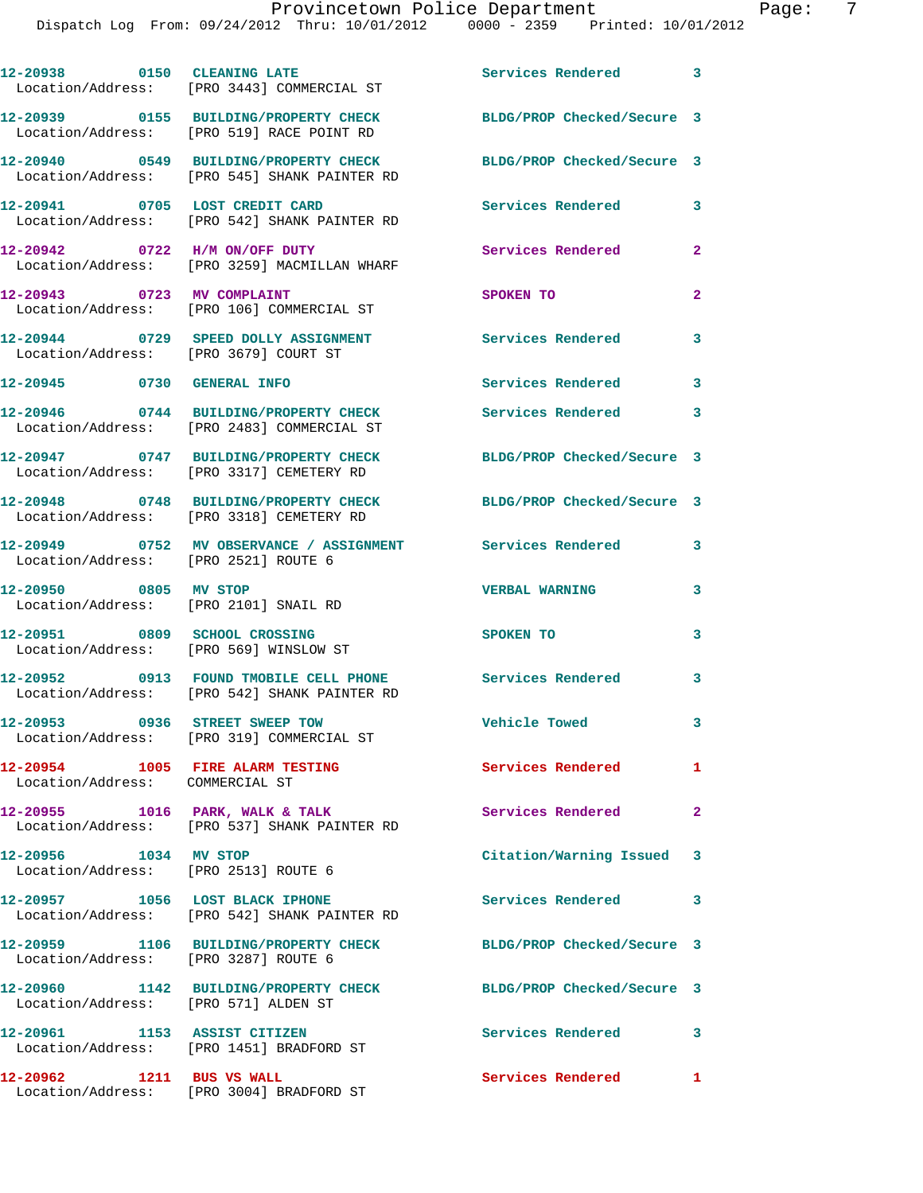|                                                                         | 12-20938 0150 CLEANING LATE<br>Location/Address: [PRO 3443] COMMERCIAL ST              | Services Rendered 3        |                         |
|-------------------------------------------------------------------------|----------------------------------------------------------------------------------------|----------------------------|-------------------------|
|                                                                         | 12-20939 0155 BUILDING/PROPERTY CHECK<br>Location/Address: [PRO 519] RACE POINT RD     | BLDG/PROP Checked/Secure 3 |                         |
|                                                                         | 12-20940 0549 BUILDING/PROPERTY CHECK<br>Location/Address: [PRO 545] SHANK PAINTER RD  | BLDG/PROP Checked/Secure 3 |                         |
| 12-20941 0705 LOST CREDIT CARD                                          | Location/Address: [PRO 542] SHANK PAINTER RD                                           | Services Rendered          | $\mathbf{3}$            |
|                                                                         | 12-20942 0722 H/M ON/OFF DUTY<br>Location/Address: [PRO 3259] MACMILLAN WHARF          | Services Rendered          | $\mathbf{2}$            |
| 12-20943 0723 MV COMPLAINT                                              | Location/Address: [PRO 106] COMMERCIAL ST                                              | SPOKEN TO                  | $\overline{a}$          |
| Location/Address: [PRO 3679] COURT ST                                   | 12-20944 0729 SPEED DOLLY ASSIGNMENT                                                   | Services Rendered          | 3                       |
| 12-20945 0730 GENERAL INFO                                              |                                                                                        | Services Rendered          | $\overline{\mathbf{3}}$ |
|                                                                         | 12-20946 0744 BUILDING/PROPERTY CHECK<br>Location/Address: [PRO 2483] COMMERCIAL ST    | Services Rendered          | 3                       |
|                                                                         | 12-20947 0747 BUILDING/PROPERTY CHECK<br>Location/Address: [PRO 3317] CEMETERY RD      | BLDG/PROP Checked/Secure 3 |                         |
|                                                                         | 12-20948 0748 BUILDING/PROPERTY CHECK<br>Location/Address: [PRO 3318] CEMETERY RD      | BLDG/PROP Checked/Secure 3 |                         |
| Location/Address: [PRO 2521] ROUTE 6                                    |                                                                                        | $\sim$ 3                   |                         |
| 12-20950 0805 MV STOP<br>Location/Address: [PRO 2101] SNAIL RD          |                                                                                        | <b>VERBAL WARNING</b>      | 3                       |
| 12-20951 0809 SCHOOL CROSSING<br>Location/Address: [PRO 569] WINSLOW ST |                                                                                        | <b>SPOKEN TO</b>           | 3                       |
|                                                                         | 12-20952 0913 FOUND TMOBILE CELL PHONE<br>Location/Address: [PRO 542] SHANK PAINTER RD | Services Rendered 3        |                         |
| 12-20953 0936 STREET SWEEP TOW                                          | Location/Address: [PRO 319] COMMERCIAL ST                                              | <b>Vehicle Towed</b>       | $\mathbf{3}$            |
| 12-20954 1005 FIRE ALARM TESTING<br>Location/Address: COMMERCIAL ST     |                                                                                        | Services Rendered          | 1                       |
|                                                                         | 12-20955 1016 PARK, WALK & TALK<br>Location/Address: [PRO 537] SHANK PAINTER RD        | Services Rendered          | $\mathbf{2}$            |
| 12-20956 1034 MV STOP<br>Location/Address: [PRO 2513] ROUTE 6           |                                                                                        | Citation/Warning Issued 3  |                         |
|                                                                         | 12-20957 1056 LOST BLACK IPHONE<br>Location/Address: [PRO 542] SHANK PAINTER RD        | Services Rendered          | 3                       |
| Location/Address: [PRO 3287] ROUTE 6                                    | 12-20959 1106 BUILDING/PROPERTY CHECK                                                  | BLDG/PROP Checked/Secure 3 |                         |
| Location/Address: [PRO 571] ALDEN ST                                    | 12-20960 1142 BUILDING/PROPERTY CHECK                                                  | BLDG/PROP Checked/Secure 3 |                         |
| 12-20961 1153 ASSIST CITIZEN                                            | Location/Address: [PRO 1451] BRADFORD ST                                               | Services Rendered 3        |                         |
|                                                                         |                                                                                        |                            |                         |

**12-20962 1211 BUS VS WALL Services Rendered 1** 

Location/Address: [PRO 3004] BRADFORD ST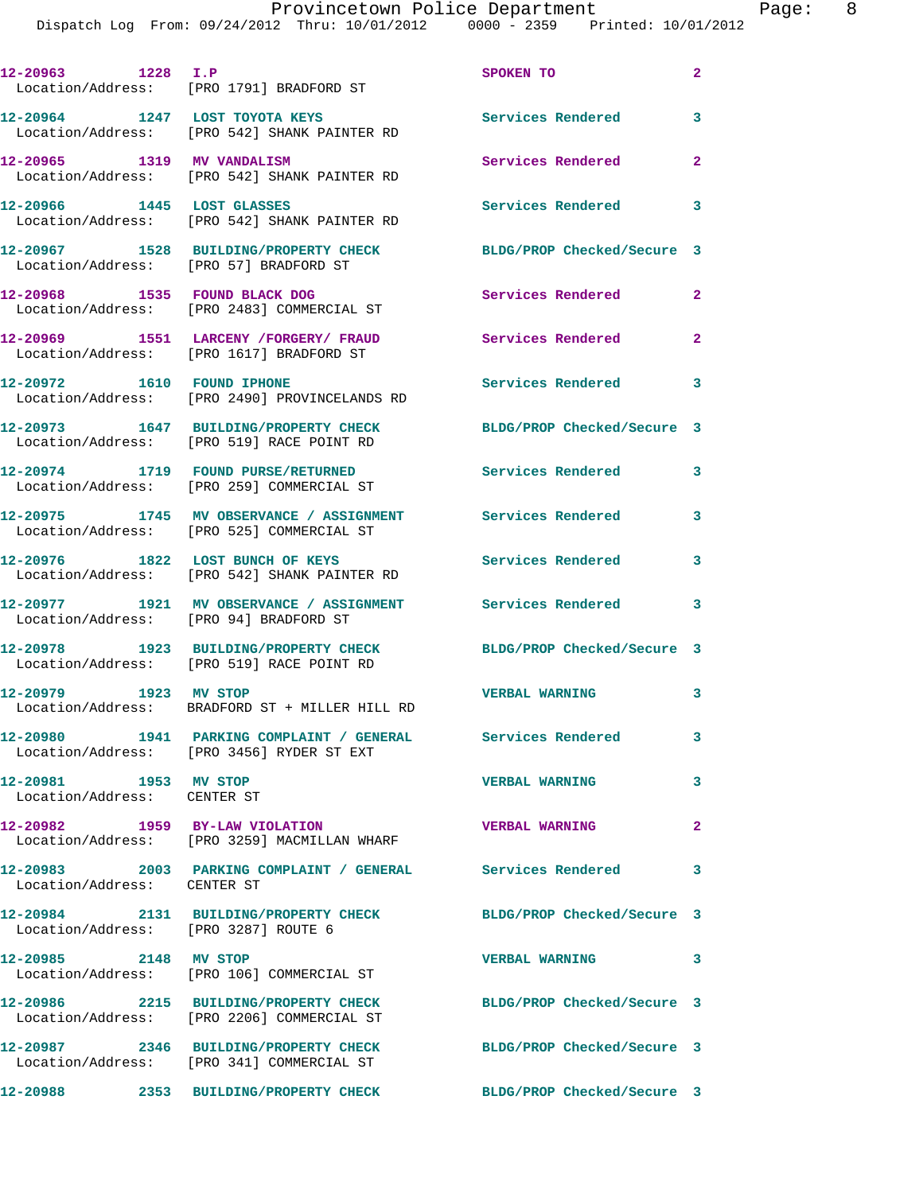Dispatch Log From: 09/24/2012 Thru: 10/01/2012 0000 - 2359 Printed: 10/01/2012

| 12-20963 1228 I.P                                    | Location/Address: [PRO 1791] BRADFORD ST                                                                 | SPOKEN TO                  | $\mathbf{2}$               |
|------------------------------------------------------|----------------------------------------------------------------------------------------------------------|----------------------------|----------------------------|
|                                                      | 12-20964 1247 LOST TOYOTA KEYS<br>Location/Address: [PRO 542] SHANK PAINTER RD                           | <b>Services Rendered</b>   | 3                          |
| 12-20965 1319 MV VANDALISM                           | Location/Address: [PRO 542] SHANK PAINTER RD                                                             | <b>Services Rendered</b>   | $\overline{a}$             |
| 12-20966 1445 LOST GLASSES                           | Location/Address: [PRO 542] SHANK PAINTER RD                                                             | <b>Services Rendered</b>   | $\overline{\phantom{a}}$ 3 |
|                                                      | 12-20967 1528 BUILDING/PROPERTY CHECK<br>Location/Address: [PRO 57] BRADFORD ST                          | BLDG/PROP Checked/Secure 3 |                            |
|                                                      | 12-20968 1535 FOUND BLACK DOG<br>Location/Address: [PRO 2483] COMMERCIAL ST                              | Services Rendered 2        |                            |
|                                                      | 12-20969 1551 LARCENY /FORGERY/ FRAUD<br>Location/Address: [PRO 1617] BRADFORD ST                        | <b>Services Rendered</b>   | $\mathbf{2}$               |
| 12-20972   1610   FOUND IPHONE                       | Location/Address: [PRO 2490] PROVINCELANDS RD                                                            | Services Rendered 3        |                            |
|                                                      | 12-20973 1647 BUILDING/PROPERTY CHECK<br>Location/Address: [PRO 519] RACE POINT RD                       | BLDG/PROP Checked/Secure 3 |                            |
|                                                      | 12-20974 1719 FOUND PURSE/RETURNED<br>Location/Address: [PRO 259] COMMERCIAL ST                          | <b>Services Rendered</b> 3 |                            |
|                                                      | 12-20975 1745 MV OBSERVANCE / ASSIGNMENT Services Rendered<br>Location/Address: [PRO 525] COMMERCIAL ST  |                            | 3                          |
|                                                      | 12-20976 1822 LOST BUNCH OF KEYS<br>Location/Address: [PRO 542] SHANK PAINTER RD                         | Services Rendered          | $\mathbf{3}$               |
|                                                      | 12-20977 1921 MV OBSERVANCE / ASSIGNMENT Services Rendered<br>Location/Address: [PRO 94] BRADFORD ST     |                            | $\overline{\phantom{a}}$ 3 |
|                                                      | 12-20978 1923 BUILDING/PROPERTY CHECK<br>Location/Address: [PRO 519] RACE POINT RD                       | BLDG/PROP Checked/Secure 3 |                            |
| 12-20979 1923 MV STOP                                | Location/Address: BRADFORD ST + MILLER HILL RD                                                           | <b>VERBAL WARNING</b>      | 3                          |
|                                                      | 12-20980 1941 PARKING COMPLAINT / GENERAL Services Rendered<br>Location/Address: [PRO 3456] RYDER ST EXT |                            | 3                          |
| 12-20981 1953 MV STOP<br>Location/Address: CENTER ST |                                                                                                          | <b>VERBAL WARNING</b>      | 3                          |
| 12-20982 1959 BY-LAW VIOLATION                       | Location/Address: [PRO 3259] MACMILLAN WHARF                                                             | <b>VERBAL WARNING</b>      | $\overline{2}$             |
| Location/Address: CENTER ST                          | 12-20983 2003 PARKING COMPLAINT / GENERAL Services Rendered 3                                            |                            |                            |
| Location/Address: [PRO 3287] ROUTE 6                 | 12-20984 2131 BUILDING/PROPERTY CHECK BLDG/PROP Checked/Secure 3                                         |                            |                            |
| 12-20985 2148 MV STOP                                | Location/Address: [PRO 106] COMMERCIAL ST                                                                | <b>VERBAL WARNING</b>      | $\overline{\phantom{a}}$ 3 |
|                                                      | 12-20986 2215 BUILDING/PROPERTY CHECK<br>Location/Address: [PRO 2206] COMMERCIAL ST                      | BLDG/PROP Checked/Secure 3 |                            |
|                                                      | 12-20987 2346 BUILDING/PROPERTY CHECK<br>Location/Address: [PRO 341] COMMERCIAL ST                       | BLDG/PROP Checked/Secure 3 |                            |
|                                                      | 12-20988 2353 BUILDING/PROPERTY CHECK                                                                    | BLDG/PROP Checked/Secure 3 |                            |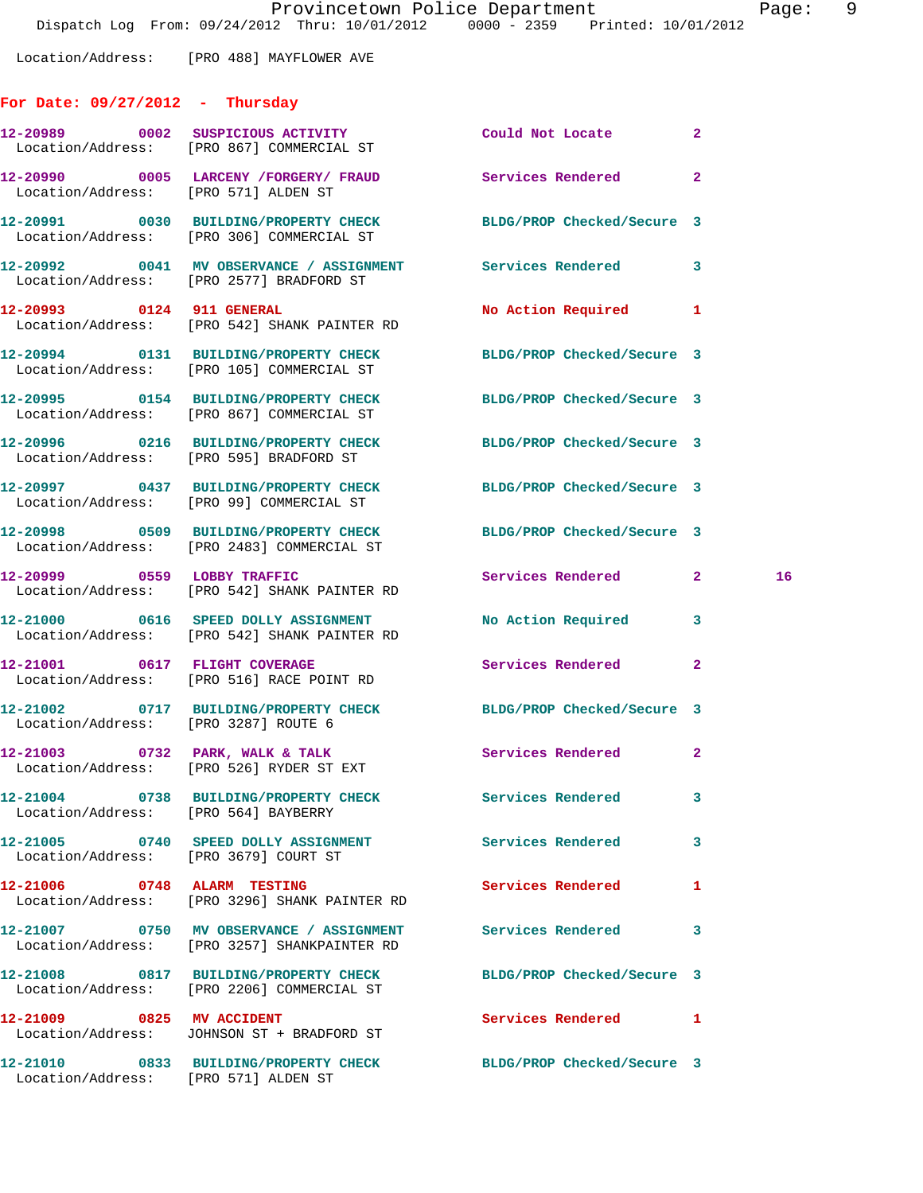Location/Address: [PRO 488] MAYFLOWER AVE

## **For Date: 09/27/2012 - Thursday**

|                                       | 12-20989 0002 SUSPICIOUS ACTIVITY<br>Location/Address: [PRO 867] COMMERCIAL ST                                 | Could Not Locate           | $\mathbf{2}$ |    |
|---------------------------------------|----------------------------------------------------------------------------------------------------------------|----------------------------|--------------|----|
| Location/Address: [PRO 571] ALDEN ST  | 12-20990 0005 LARCENY /FORGERY / FRAUD Services Rendered 2                                                     |                            |              |    |
|                                       | 12-20991 0030 BUILDING/PROPERTY CHECK BLDG/PROP Checked/Secure 3<br>Location/Address: [PRO 306] COMMERCIAL ST  |                            |              |    |
|                                       | 12-20992 0041 MV OBSERVANCE / ASSIGNMENT Services Rendered 3<br>Location/Address: [PRO 2577] BRADFORD ST       |                            |              |    |
|                                       | 12-20993 0124 911 GENERAL<br>Location/Address: [PRO 542] SHANK PAINTER RD                                      | No Action Required 1       |              |    |
|                                       | 12-20994 0131 BUILDING/PROPERTY CHECK<br>Location/Address: [PRO 105] COMMERCIAL ST                             | BLDG/PROP Checked/Secure 3 |              |    |
|                                       | 12-20995 0154 BUILDING/PROPERTY CHECK<br>Location/Address: [PRO 867] COMMERCIAL ST                             | BLDG/PROP Checked/Secure 3 |              |    |
|                                       | 12-20996 0216 BUILDING/PROPERTY CHECK<br>Location/Address: [PRO 595] BRADFORD ST                               | BLDG/PROP Checked/Secure 3 |              |    |
|                                       | 12-20997 0437 BUILDING/PROPERTY CHECK BLDG/PROP Checked/Secure 3<br>Location/Address: [PRO 99] COMMERCIAL ST   |                            |              |    |
|                                       | 12-20998 0509 BUILDING/PROPERTY CHECK BLDG/PROP Checked/Secure 3<br>Location/Address: [PRO 2483] COMMERCIAL ST |                            |              |    |
|                                       | 12-20999 0559 LOBBY TRAFFIC<br>Location/Address: [PRO 542] SHANK PAINTER RD                                    | Services Rendered 2        |              | 16 |
|                                       | 12-21000 0616 SPEED DOLLY ASSIGNMENT No Action Required 3<br>Location/Address: [PRO 542] SHANK PAINTER RD      |                            |              |    |
|                                       | 12-21001 0617 FLIGHT COVERAGE<br>Location/Address: [PRO 516] RACE POINT RD                                     | Services Rendered          | 2            |    |
| Location/Address: [PRO 3287] ROUTE 6  | 12-21002 0717 BUILDING/PROPERTY CHECK BLDG/PROP Checked/Secure 3                                               |                            |              |    |
|                                       | 12-21003 0732 PARK, WALK & TALK<br>Location/Address: [PRO 526] RYDER ST EXT                                    | Services Rendered 2        |              |    |
| Location/Address: [PRO 564] BAYBERRY  | 12-21004 0738 BUILDING/PROPERTY CHECK Services Rendered                                                        |                            |              |    |
| Location/Address: [PRO 3679] COURT ST | 12-21005 0740 SPEED DOLLY ASSIGNMENT                                                                           | Services Rendered          | 3            |    |
|                                       | 12-21006 0748 ALARM TESTING<br>Location/Address: [PRO 3296] SHANK PAINTER RD                                   | Services Rendered          | 1            |    |
|                                       | 12-21007 0750 MV OBSERVANCE / ASSIGNMENT Services Rendered<br>Location/Address: [PRO 3257] SHANKPAINTER RD     |                            | 3            |    |
|                                       | 12-21008 0817 BUILDING/PROPERTY CHECK<br>Location/Address: [PRO 2206] COMMERCIAL ST                            | BLDG/PROP Checked/Secure 3 |              |    |
| 12-21009 0825 MV ACCIDENT             | Location/Address: JOHNSON ST + BRADFORD ST                                                                     | Services Rendered          | 1            |    |
| Location/Address: [PRO 571] ALDEN ST  | 12-21010 0833 BUILDING/PROPERTY CHECK BLDG/PROP Checked/Secure 3                                               |                            |              |    |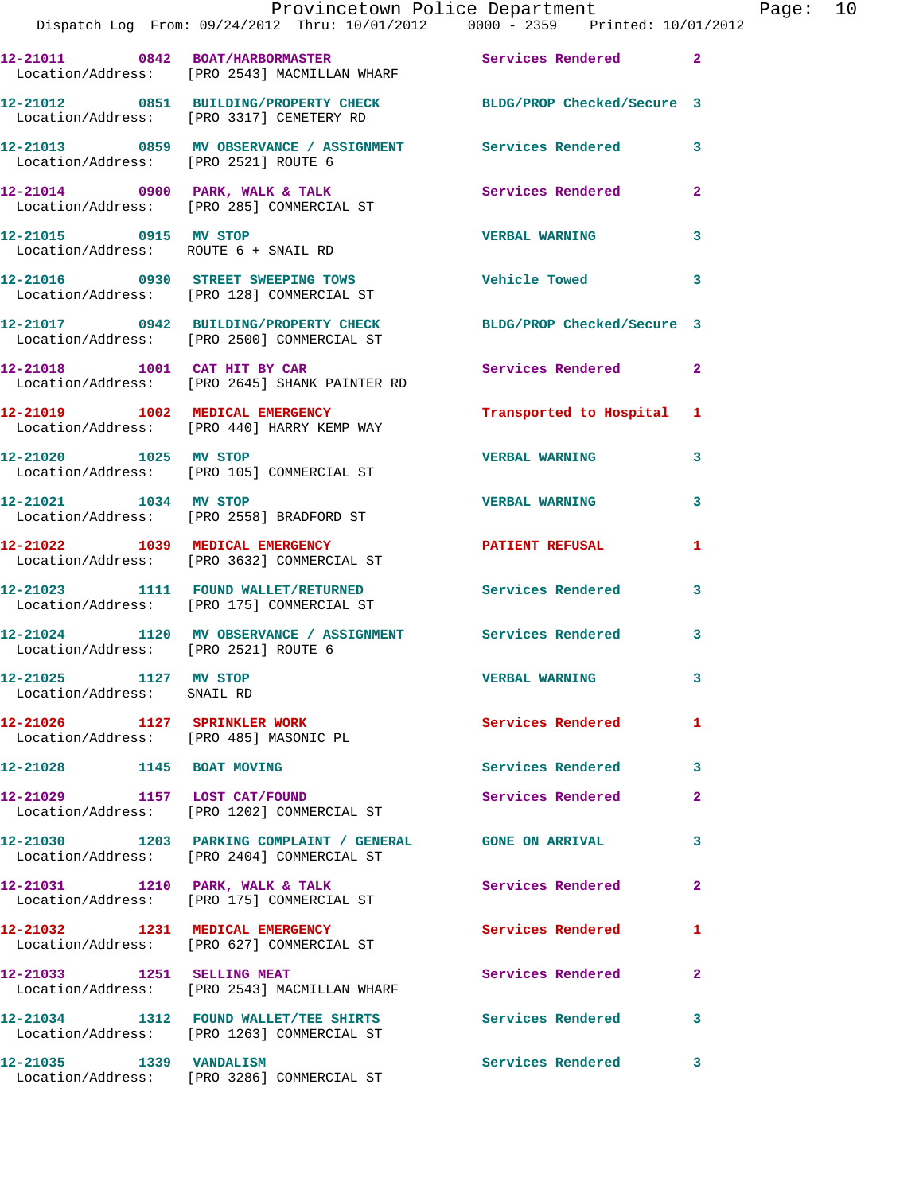|                                                                        | Provincetown Police Department<br>Dispatch Log From: 09/24/2012 Thru: 10/01/2012 0000 - 2359 Printed: 10/01/2012 |                            |                |
|------------------------------------------------------------------------|------------------------------------------------------------------------------------------------------------------|----------------------------|----------------|
|                                                                        | 12-21011 0842 BOAT/HARBORMASTER Services Rendered<br>Location/Address: [PRO 2543] MACMILLAN WHARF                |                            | $\overline{2}$ |
|                                                                        | 12-21012 0851 BUILDING/PROPERTY CHECK BLDG/PROP Checked/Secure 3<br>Location/Address: [PRO 3317] CEMETERY RD     |                            |                |
| Location/Address: [PRO 2521] ROUTE 6                                   | 12-21013 6859 MV OBSERVANCE / ASSIGNMENT Services Rendered                                                       |                            | 3              |
|                                                                        | 12-21014 0900 PARK, WALK & TALK Services Rendered<br>Location/Address: [PRO 285] COMMERCIAL ST                   |                            | $\overline{a}$ |
| 12-21015 0915 MV STOP                                                  | Location/Address: ROUTE 6 + SNAIL RD                                                                             | <b>VERBAL WARNING</b>      | 3              |
|                                                                        | 12-21016 0930 STREET SWEEPING TOWS Vehicle Towed<br>Location/Address: [PRO 128] COMMERCIAL ST                    |                            | 3              |
|                                                                        | 12-21017 0942 BUILDING/PROPERTY CHECK<br>Location/Address: [PRO 2500] COMMERCIAL ST                              | BLDG/PROP Checked/Secure 3 |                |
|                                                                        | 12-21018 1001 CAT HIT BY CAR<br>Location/Address: [PRO 2645] SHANK PAINTER RD                                    | Services Rendered          | $\mathbf{2}$   |
|                                                                        | 12-21019 1002 MEDICAL EMERGENCY<br>Location/Address: [PRO 440] HARRY KEMP WAY                                    | Transported to Hospital    | 1              |
| 12-21020 1025 MV STOP                                                  | Location/Address: [PRO 105] COMMERCIAL ST                                                                        | <b>VERBAL WARNING</b>      | 3              |
| 12-21021 1034 MV STOP                                                  | Location/Address: [PRO 2558] BRADFORD ST                                                                         | <b>VERBAL WARNING</b>      | 3              |
|                                                                        | 12-21022 1039 MEDICAL EMERGENCY<br>Location/Address: [PRO 3632] COMMERCIAL ST                                    | <b>PATIENT REFUSAL</b>     | 1              |
|                                                                        | 12-21023 1111 FOUND WALLET/RETURNED Services Rendered<br>Location/Address: [PRO 175] COMMERCIAL ST               |                            | 3              |
| Location/Address: [PRO 2521] ROUTE 6                                   | 12-21024 1120 MV OBSERVANCE / ASSIGNMENT Services Rendered                                                       |                            | 3              |
| 12-21025 1127 MV STOP<br>Location/Address: SNAIL RD                    |                                                                                                                  | <b>VERBAL WARNING</b>      | 3              |
| 12-21026 1127 SPRINKLER WORK<br>Location/Address: [PRO 485] MASONIC PL |                                                                                                                  | <b>Services Rendered</b>   | 1              |
| 12-21028 1145 BOAT MOVING                                              |                                                                                                                  | Services Rendered          | 3              |
| 12-21029 1157 LOST CAT/FOUND                                           | Location/Address: [PRO 1202] COMMERCIAL ST                                                                       | Services Rendered          | $\overline{a}$ |
|                                                                        | 12-21030 1203 PARKING COMPLAINT / GENERAL GONE ON ARRIVAL<br>Location/Address: [PRO 2404] COMMERCIAL ST          |                            | 3              |
|                                                                        | 12-21031 1210 PARK, WALK & TALK<br>Location/Address: [PRO 175] COMMERCIAL ST                                     | Services Rendered          | $\mathbf{2}$   |
|                                                                        | 12-21032 1231 MEDICAL EMERGENCY<br>Location/Address: [PRO 627] COMMERCIAL ST                                     | Services Rendered          | 1              |
| 12-21033 1251 SELLING MEAT                                             | Location/Address: [PRO 2543] MACMILLAN WHARF                                                                     | Services Rendered          | $\mathbf{2}$   |
|                                                                        | 12-21034 1312 FOUND WALLET/TEE SHIRTS<br>Location/Address: [PRO 1263] COMMERCIAL ST                              | <b>Services Rendered</b>   | 3              |
|                                                                        |                                                                                                                  | Services Rendered          | 3              |

Location/Address: [PRO 3286] COMMERCIAL ST

Page:  $10$ <br> $12$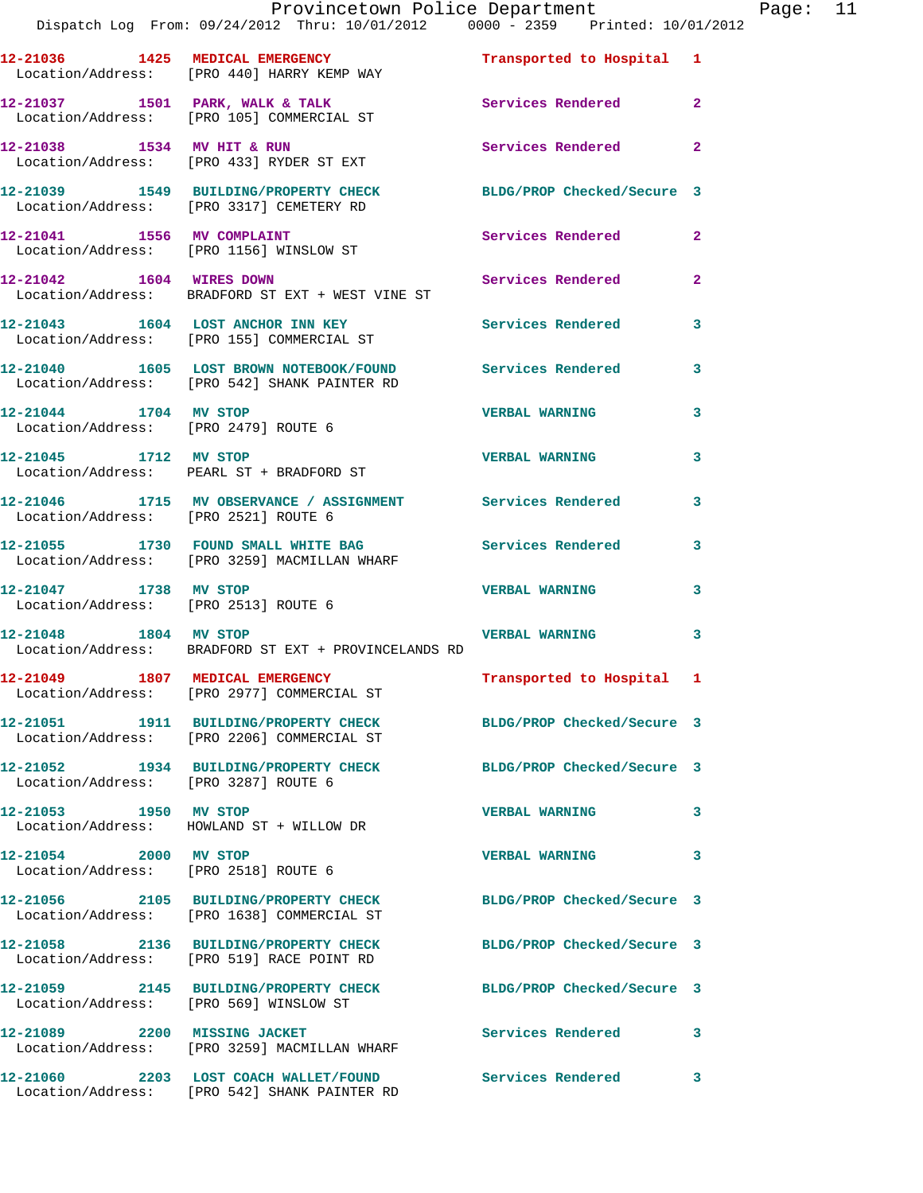|                                      | Provincetown Police Department<br>Dispatch Log From: 09/24/2012 Thru: 10/01/2012 0000 - 2359 Printed: 10/01/2012              |                            |              | Page: 11 |  |
|--------------------------------------|-------------------------------------------------------------------------------------------------------------------------------|----------------------------|--------------|----------|--|
|                                      | 12-21036 1425 MEDICAL EMERGENCY <b>12-21036</b> 12-21036 1425 MEDICAL EMERGENCY<br>Location/Address: [PRO 440] HARRY KEMP WAY |                            |              |          |  |
|                                      | 12-21037 1501 PARK, WALK & TALK 1999 Services Rendered 2<br>Location/Address: [PRO 105] COMMERCIAL ST                         |                            |              |          |  |
|                                      | 12-21038 1534 MV HIT & RUN<br>Location/Address: [PRO 433] RYDER ST EXT                                                        | Services Rendered 2        |              |          |  |
|                                      | 12-21039 1549 BUILDING/PROPERTY CHECK BLDG/PROP Checked/Secure 3<br>Location/Address: [PRO 3317] CEMETERY RD                  |                            |              |          |  |
|                                      | 12-21041 1556 MV COMPLAINT<br>Location/Address: [PRO 1156] WINSLOW ST                                                         | Services Rendered 2        |              |          |  |
|                                      | 12-21042 1604 WIRES DOWN<br>Location/Address: BRADFORD ST EXT + WEST VINE ST                                                  | Services Rendered          | $\mathbf{2}$ |          |  |
|                                      | 12-21043 1604 LOST ANCHOR INN KEY Services Rendered 3<br>Location/Address: [PRO 155] COMMERCIAL ST                            |                            |              |          |  |
|                                      | 12-21040 1605 LOST BROWN NOTEBOOK/FOUND Services Rendered 3<br>Location/Address: [PRO 542] SHANK PAINTER RD                   |                            |              |          |  |
| 12-21044 1704 MV STOP                | Location/Address: [PRO 2479] ROUTE 6                                                                                          | <b>VERBAL WARNING</b>      | $\mathbf{3}$ |          |  |
|                                      | 12-21045 1712 MV STOP<br>Location/Address: PEARL ST + BRADFORD ST                                                             | <b>VERBAL WARNING</b>      | 3            |          |  |
| Location/Address: [PRO 2521] ROUTE 6 | 12-21046 1715 MV OBSERVANCE / ASSIGNMENT Services Rendered 3                                                                  |                            |              |          |  |
|                                      | 12-21055 1730 FOUND SMALL WHITE BAG Services Rendered 3<br>Location/Address: [PRO 3259] MACMILLAN WHARF                       |                            |              |          |  |
| 12-21047 1738 MV STOP                | Location/Address: [PRO 2513] ROUTE 6                                                                                          | <b>VERBAL WARNING</b>      | 3            |          |  |
|                                      | 12-21048 1804 MV STOP<br>Location/Address: BRADFORD ST EXT + PROVINCELANDS RD                                                 | VERBAL WARNING 3           |              |          |  |
|                                      | 12-21049 1807 MEDICAL EMERGENCY Transported to Hospital 1<br>Location/Address: [PRO 2977] COMMERCIAL ST                       |                            |              |          |  |
|                                      | 12-21051 1911 BUILDING/PROPERTY CHECK BLDG/PROP Checked/Secure 3<br>Location/Address: [PRO 2206] COMMERCIAL ST                |                            |              |          |  |
| Location/Address: [PRO 3287] ROUTE 6 | 12-21052 1934 BUILDING/PROPERTY CHECK                                                                                         | BLDG/PROP Checked/Secure 3 |              |          |  |
|                                      | 12-21053 1950 MV STOP<br>Location/Address: HOWLAND ST + WILLOW DR                                                             | <b>VERBAL WARNING</b>      | 3            |          |  |
| 12-21054 2000 MV STOP                | Location/Address: [PRO 2518] ROUTE 6                                                                                          | <b>VERBAL WARNING</b>      | 3            |          |  |
|                                      | 12-21056 2105 BUILDING/PROPERTY CHECK BLDG/PROP Checked/Secure 3<br>Location/Address: [PRO 1638] COMMERCIAL ST                |                            |              |          |  |
|                                      | 12-21058 2136 BUILDING/PROPERTY CHECK<br>Location/Address: [PRO 519] RACE POINT RD                                            | BLDG/PROP Checked/Secure 3 |              |          |  |
|                                      | 12-21059 2145 BUILDING/PROPERTY CHECK BLDG/PROP Checked/Secure 3<br>Location/Address: [PRO 569] WINSLOW ST                    |                            |              |          |  |
|                                      | 12-21089 2200 MISSING JACKET<br>Location/Address: [PRO 3259] MACMILLAN WHARF                                                  | Services Rendered 3        |              |          |  |
|                                      | Location/Address: [PRO 542] SHANK PAINTER RD                                                                                  |                            | $\mathbf{3}$ |          |  |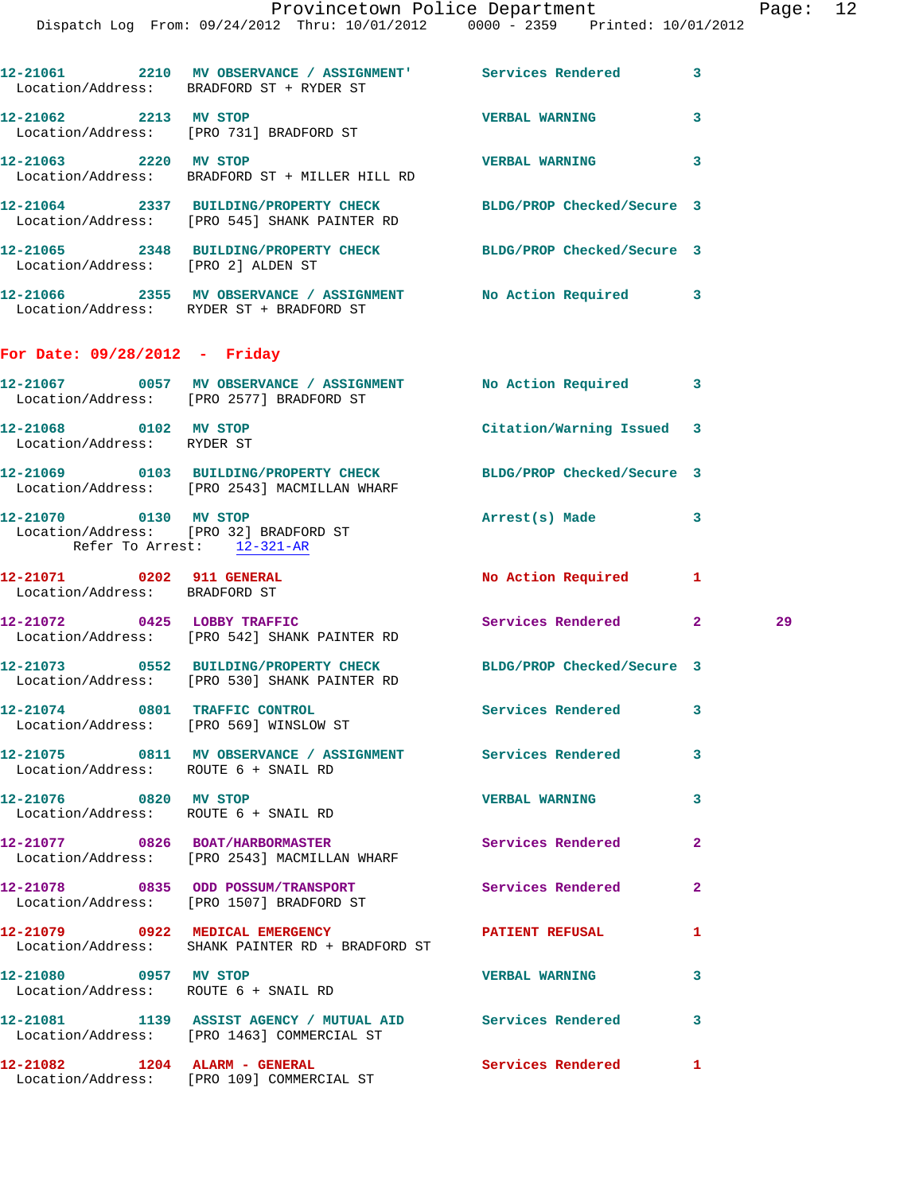|                                                                         | 12-21061 2210 MV OBSERVANCE / ASSIGNMENT' Services Rendered 3<br>Location/Address: BRADFORD ST + RYDER ST        |                            |              |    |
|-------------------------------------------------------------------------|------------------------------------------------------------------------------------------------------------------|----------------------------|--------------|----|
| 12-21062 2213 MV STOP                                                   | Location/Address: [PRO 731] BRADFORD ST                                                                          | <b>VERBAL WARNING</b>      | 3            |    |
| 12-21063 2220 MV STOP                                                   | Location/Address: BRADFORD ST + MILLER HILL RD                                                                   | <b>VERBAL WARNING</b>      | 3            |    |
|                                                                         | 12-21064 2337 BUILDING/PROPERTY CHECK<br>Location/Address: [PRO 545] SHANK PAINTER RD                            | BLDG/PROP Checked/Secure 3 |              |    |
| Location/Address: [PRO 2] ALDEN ST                                      | 12-21065 2348 BUILDING/PROPERTY CHECK BLDG/PROP Checked/Secure 3                                                 |                            |              |    |
|                                                                         | 12-21066 2355 MV OBSERVANCE / ASSIGNMENT No Action Required 3<br>Location/Address: RYDER ST + BRADFORD ST        |                            |              |    |
| For Date: $09/28/2012$ - Friday                                         |                                                                                                                  |                            |              |    |
|                                                                         | 12-21067 0057 MV OBSERVANCE / ASSIGNMENT No Action Required 3<br>Location/Address: [PRO 2577] BRADFORD ST        |                            |              |    |
| 12-21068 0102 MV STOP<br>Location/Address: RYDER ST                     |                                                                                                                  | Citation/Warning Issued 3  |              |    |
|                                                                         | 12-21069 0103 BUILDING/PROPERTY CHECK BLDG/PROP Checked/Secure 3<br>Location/Address: [PRO 2543] MACMILLAN WHARF |                            |              |    |
| 12-21070 0130 MV STOP<br>Refer To Arrest: 12-321-AR                     | Location/Address: [PRO 32] BRADFORD ST                                                                           | Arrest(s) Made             | 3            |    |
| 12-21071 0202 911 GENERAL<br>Location/Address: BRADFORD ST              |                                                                                                                  | No Action Required         | 1            |    |
|                                                                         | 12-21072 0425 LOBBY TRAFFIC<br>Location/Address: [PRO 542] SHANK PAINTER RD                                      | Services Rendered 2        |              | 29 |
|                                                                         | 12-21073 0552 BUILDING/PROPERTY CHECK BLDG/PROP Checked/Secure 3<br>Location/Address: [PRO 530] SHANK PAINTER RD |                            |              |    |
| 12-21074 0801 TRAFFIC CONTROL<br>Location/Address: [PRO 569] WINSLOW ST |                                                                                                                  | Services Rendered 3        |              |    |
| Location/Address: ROUTE 6 + SNAIL RD                                    | 12-21075 0811 MV OBSERVANCE / ASSIGNMENT Services Rendered                                                       |                            | 3            |    |
| 12-21076 0820 MV STOP<br>Location/Address: ROUTE 6 + SNAIL RD           |                                                                                                                  | <b>VERBAL WARNING</b>      | 3            |    |
|                                                                         | 12-21077 0826 BOAT/HARBORMASTER Services Rendered<br>Location/Address: [PRO 2543] MACMILLAN WHARF                |                            | $\mathbf{2}$ |    |
|                                                                         | 12-21078 0835 ODD POSSUM/TRANSPORT<br>Location/Address: [PRO 1507] BRADFORD ST                                   | Services Rendered          | $\mathbf{2}$ |    |
|                                                                         | 12-21079 0922 MEDICAL EMERGENCY PATIENT REFUSAL<br>Location/Address: SHANK PAINTER RD + BRADFORD ST              |                            | 1            |    |
| 12-21080 0957 MV STOP<br>Location/Address: ROUTE 6 + SNAIL RD           |                                                                                                                  | <b>VERBAL WARNING</b>      | 3            |    |
|                                                                         | 12-21081 1139 ASSIST AGENCY / MUTUAL AID Services Rendered<br>Location/Address: [PRO 1463] COMMERCIAL ST         |                            | 3            |    |
|                                                                         | 12-21082 1204 ALARM - GENERAL<br>Location/Address: [PRO 109] COMMERCIAL ST                                       | <b>Services Rendered</b>   | $\mathbf{1}$ |    |
|                                                                         |                                                                                                                  |                            |              |    |
|                                                                         |                                                                                                                  |                            |              |    |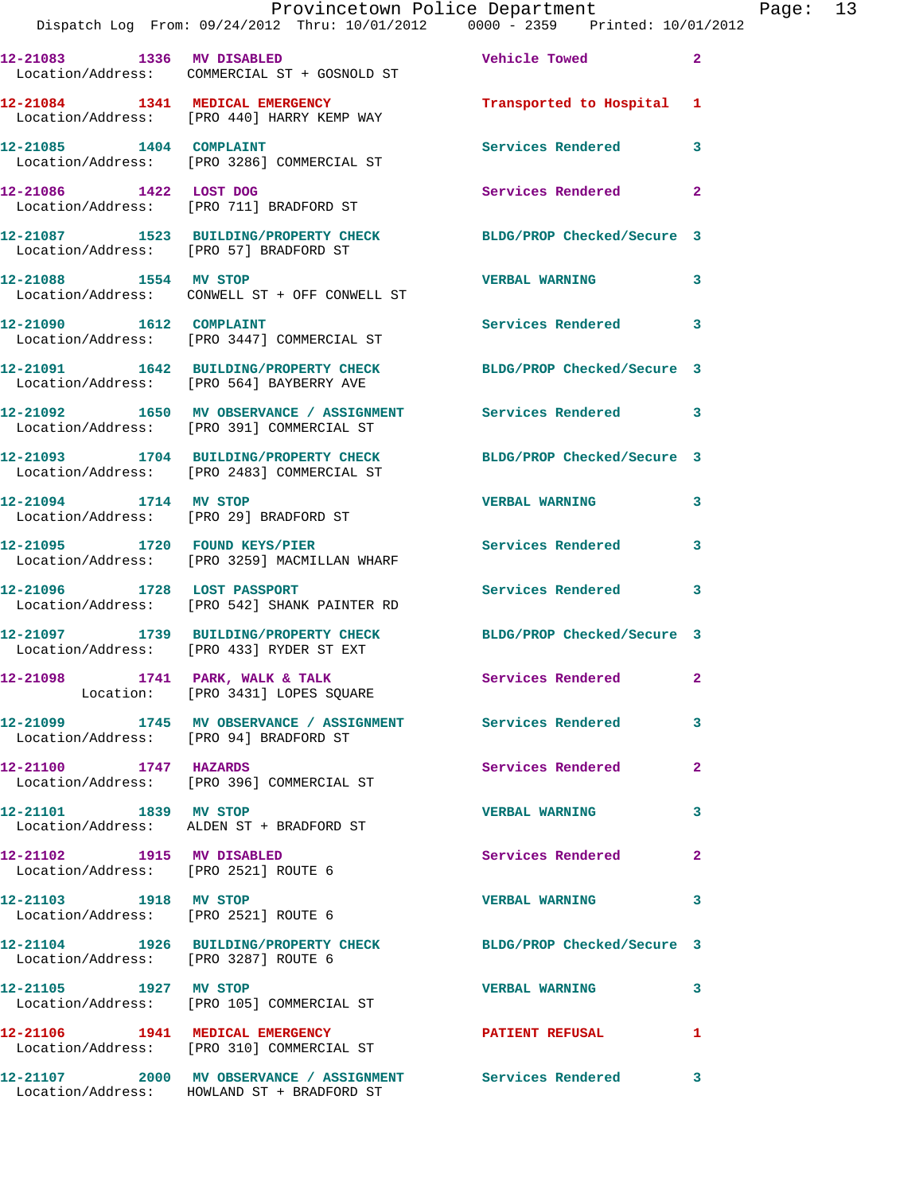|                                        | Dispatch Log From: 09/24/2012 Thru: 10/01/2012 0000 - 2359 Printed: 10/01/2012                                 | Provincetown Police Department Page: 13 |                |  |
|----------------------------------------|----------------------------------------------------------------------------------------------------------------|-----------------------------------------|----------------|--|
|                                        | 12-21083 1336 MV DISABLED<br>Location/Address: COMMERCIAL ST + GOSNOLD ST                                      | <b>Vehicle Towed State</b>              | $\mathbf{2}$   |  |
|                                        | 12-21084 1341 MEDICAL EMERGENCY<br>Location/Address: [PRO 440] HARRY KEMP WAY                                  | Transported to Hospital 1               |                |  |
|                                        | 12-21085 1404 COMPLAINT<br>Location/Address: [PRO 3286] COMMERCIAL ST                                          | Services Rendered                       | 3              |  |
| 12-21086 1422 LOST DOG                 | Location/Address: [PRO 711] BRADFORD ST                                                                        | Services Rendered                       | $\mathbf{2}$   |  |
|                                        | 12-21087 1523 BUILDING/PROPERTY CHECK BLDG/PROP Checked/Secure 3<br>Location/Address: [PRO 57] BRADFORD ST     |                                         |                |  |
|                                        | 12-21088 1554 MV STOP<br>Location/Address: CONWELL ST + OFF CONWELL ST                                         | <b>VERBAL WARNING</b>                   | 3              |  |
|                                        | 12-21090    1612    COMPLAINT<br>Location/Address: [PRO 3447] COMMERCIAL ST                                    | Services Rendered 3                     |                |  |
|                                        | 12-21091 1642 BUILDING/PROPERTY CHECK BLDG/PROP Checked/Secure 3<br>Location/Address: [PRO 564] BAYBERRY AVE   |                                         |                |  |
|                                        | 12-21092 1650 MV OBSERVANCE / ASSIGNMENT Services Rendered 3<br>Location/Address: [PRO 391] COMMERCIAL ST      |                                         |                |  |
|                                        | 12-21093 1704 BUILDING/PROPERTY CHECK BLDG/PROP Checked/Secure 3<br>Location/Address: [PRO 2483] COMMERCIAL ST |                                         |                |  |
| 12-21094 1714 MV STOP                  | Location/Address: [PRO 29] BRADFORD ST                                                                         | <b>VERBAL WARNING</b>                   | 3              |  |
|                                        | 12-21095 1720 FOUND KEYS/PIER<br>Location/Address: [PRO 3259] MACMILLAN WHARF                                  | Services Rendered                       | 3              |  |
| 12-21096 1728 LOST PASSPORT            | Location/Address: [PRO 542] SHANK PAINTER RD                                                                   | Services Rendered                       | $\mathbf{3}$   |  |
|                                        | 12-21097 1739 BUILDING/PROPERTY CHECK BLDG/PROP Checked/Secure 3<br>Location/Address: [PRO 433] RYDER ST EXT   |                                         |                |  |
|                                        | $12-21098$ 1741 PARK, WALK & TALK<br>Location: [PRO 3431] LOPES SQUARE                                         | Services Rendered 2                     |                |  |
| Location/Address: [PRO 94] BRADFORD ST | 12-21099 1745 MV OBSERVANCE / ASSIGNMENT Services Rendered                                                     |                                         | 3              |  |
| 12-21100 1747 HAZARDS                  | Location/Address: [PRO 396] COMMERCIAL ST                                                                      | Services Rendered                       | $\overline{2}$ |  |
|                                        | 12-21101 1839 MV STOP<br>Location/Address: ALDEN ST + BRADFORD ST                                              | <b>VERBAL WARNING</b>                   | 3              |  |
| 12-21102 1915 MV DISABLED              | Location/Address: [PRO 2521] ROUTE 6                                                                           | Services Rendered                       | $\mathbf{2}$   |  |
| Location/Address: [PRO 2521] ROUTE 6   | 12-21103 1918 MV STOP                                                                                          | <b>VERBAL WARNING</b>                   | 3              |  |
| Location/Address: [PRO 3287] ROUTE 6   | 12-21104 1926 BUILDING/PROPERTY CHECK BLDG/PROP Checked/Secure 3                                               |                                         |                |  |
|                                        | 12-21105 1927 MV STOP<br>Location/Address: [PRO 105] COMMERCIAL ST                                             | <b>VERBAL WARNING</b>                   | 3              |  |
|                                        | 12-21106 1941 MEDICAL EMERGENCY<br>Location/Address: [PRO 310] COMMERCIAL ST                                   | PATIENT REFUSAL                         | 1              |  |
|                                        |                                                                                                                |                                         |                |  |

Location/Address: HOWLAND ST + BRADFORD ST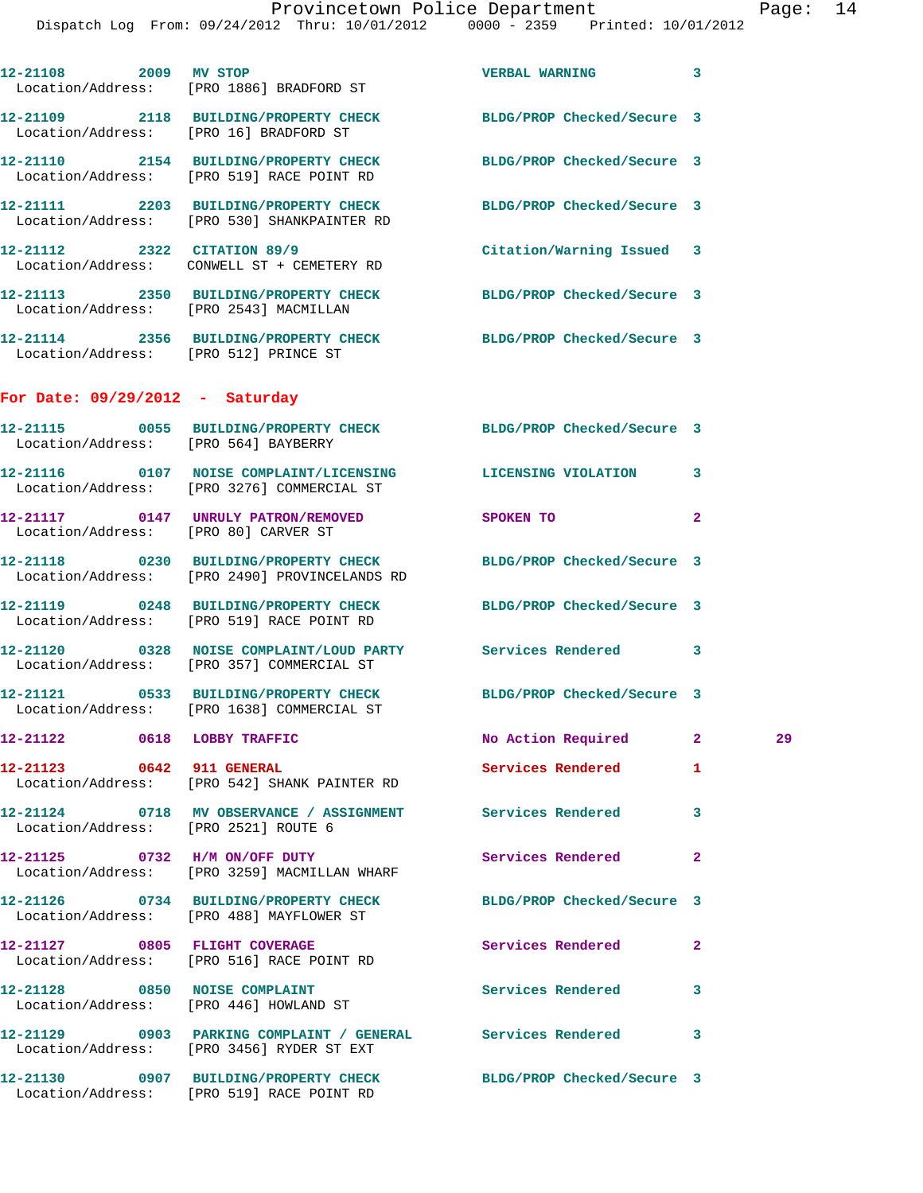| 12-21108 2009 MV STOP             | Location/Address: [PRO 1886] BRADFORD ST                                                                   | <b>VERBAL WARNING</b>      | 3                       |    |
|-----------------------------------|------------------------------------------------------------------------------------------------------------|----------------------------|-------------------------|----|
|                                   | 12-21109 2118 BUILDING/PROPERTY CHECK BLDG/PROP Checked/Secure 3<br>Location/Address: [PRO 16] BRADFORD ST |                            |                         |    |
|                                   | 12-21110 2154 BUILDING/PROPERTY CHECK<br>Location/Address: [PRO 519] RACE POINT RD                         | BLDG/PROP Checked/Secure 3 |                         |    |
|                                   | 12-21111 2203 BUILDING/PROPERTY CHECK<br>Location/Address: [PRO 530] SHANKPAINTER RD                       | BLDG/PROP Checked/Secure 3 |                         |    |
|                                   | 12-21112 2322 CITATION 89/9<br>Location/Address: CONWELL ST + CEMETERY RD                                  | Citation/Warning Issued 3  |                         |    |
|                                   | 12-21113 2350 BUILDING/PROPERTY CHECK<br>Location/Address: [PRO 2543] MACMILLAN                            | BLDG/PROP Checked/Secure 3 |                         |    |
|                                   | 12-21114 2356 BUILDING/PROPERTY CHECK<br>Location/Address: [PRO 512] PRINCE ST                             | BLDG/PROP Checked/Secure 3 |                         |    |
| For Date: $09/29/2012$ - Saturday |                                                                                                            |                            |                         |    |
|                                   | 12-21115 0055 BUILDING/PROPERTY CHECK BLDG/PROP Checked/Secure 3<br>Location/Address: [PRO 564] BAYBERRY   |                            |                         |    |
|                                   | 12-21116 0107 NOISE COMPLAINT/LICENSING LICENSING VIOLATION<br>Location/Address: [PRO 3276] COMMERCIAL ST  |                            | 3                       |    |
|                                   | 12-21117 0147 UNRULY PATRON/REMOVED<br>Location/Address: [PRO 80] CARVER ST                                | SPOKEN TO                  | $\overline{2}$          |    |
|                                   | 12-21118 0230 BUILDING/PROPERTY CHECK<br>Location/Address: [PRO 2490] PROVINCELANDS RD                     | BLDG/PROP Checked/Secure 3 |                         |    |
|                                   | 12-21119 0248 BUILDING/PROPERTY CHECK<br>Location/Address: [PRO 519] RACE POINT RD                         | BLDG/PROP Checked/Secure 3 |                         |    |
|                                   | 12-21120 0328 NOISE COMPLAINT/LOUD PARTY Services Rendered<br>Location/Address: [PRO 357] COMMERCIAL ST    |                            | $\overline{\mathbf{3}}$ |    |
|                                   | 12-21121 0533 BUILDING/PROPERTY CHECK<br>Location/Address: [PRO 1638] COMMERCIAL ST                        | BLDG/PROP Checked/Secure 3 |                         |    |
|                                   | 12-21122 0618 LOBBY TRAFFIC                                                                                | No Action Required         | $\mathbf{2}$            | 29 |
| 12-21123 0642 911 GENERAL         | Location/Address: [PRO 542] SHANK PAINTER RD                                                               | Services Rendered          | 1                       |    |
|                                   | 12-21124 0718 MV OBSERVANCE / ASSIGNMENT<br>Location/Address: [PRO 2521] ROUTE 6                           | Services Rendered          | 3                       |    |
|                                   | 12-21125 0732 H/M ON/OFF DUTY<br>Location/Address: [PRO 3259] MACMILLAN WHARF                              | Services Rendered          | $\mathbf{2}$            |    |
|                                   | 12-21126 0734 BUILDING/PROPERTY CHECK<br>Location/Address: [PRO 488] MAYFLOWER ST                          | BLDG/PROP Checked/Secure 3 |                         |    |
| 12-21127 0805 FLIGHT COVERAGE     | Location/Address: [PRO 516] RACE POINT RD                                                                  | Services Rendered          | $\overline{2}$          |    |
|                                   | 12-21128 0850 NOISE COMPLAINT<br>Location/Address: [PRO 446] HOWLAND ST                                    | <b>Services Rendered</b>   | 3                       |    |
|                                   | 12-21129 0903 PARKING COMPLAINT / GENERAL Services Rendered<br>Location/Address: [PRO 3456] RYDER ST EXT   |                            | 3                       |    |
|                                   | 12-21130 0907 BUILDING/PROPERTY CHECK<br>Location/Address: [PRO 519] RACE POINT RD                         | BLDG/PROP Checked/Secure 3 |                         |    |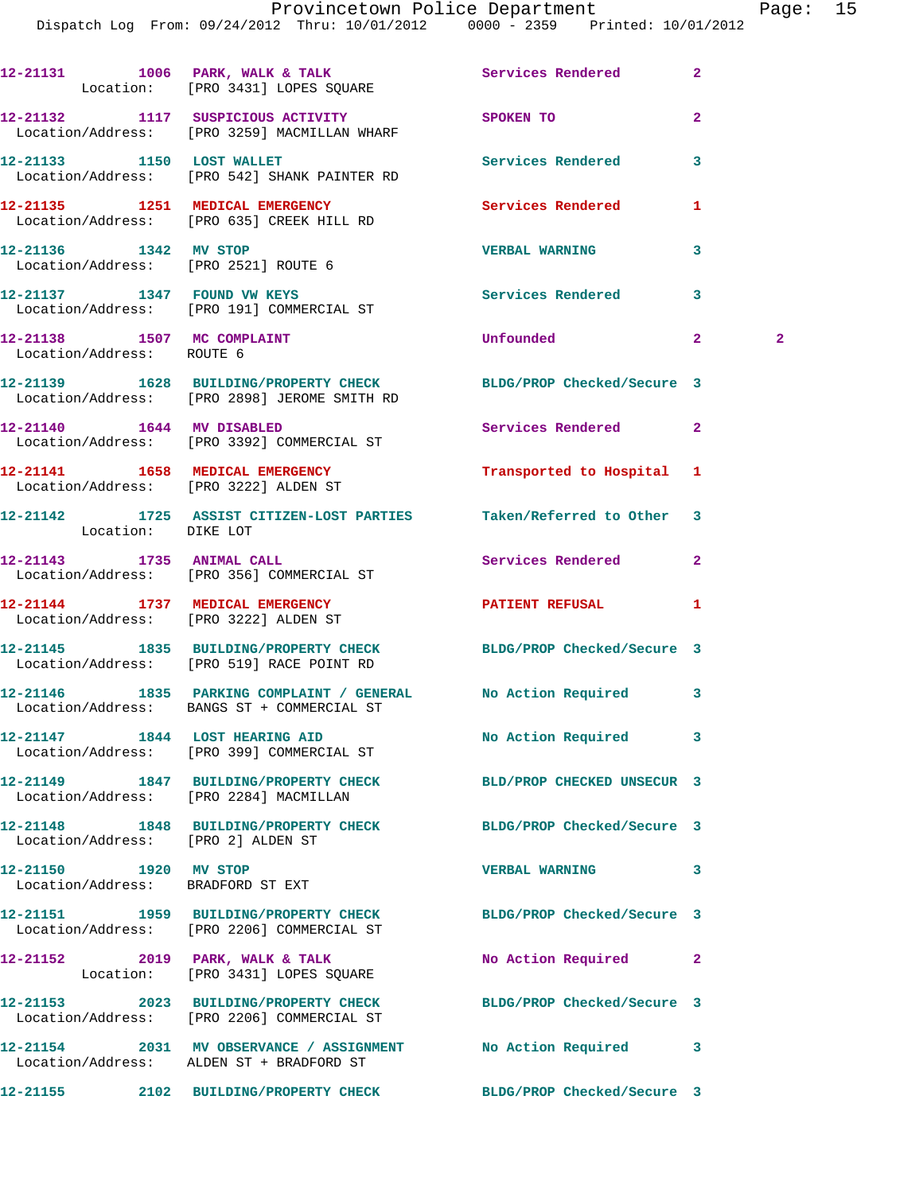Dispatch Log From: 09/24/2012 Thru: 10/01/2012 0000 - 2359 Printed: 10/01/2012

|                                                            | 12-21131 1006 PARK, WALK & TALK 1999 Services Rendered<br>Location: [PRO 3431] LOPES SQUARE                      |                            | $\overline{2}$               |
|------------------------------------------------------------|------------------------------------------------------------------------------------------------------------------|----------------------------|------------------------------|
|                                                            | 12-21132 1117 SUSPICIOUS ACTIVITY<br>Location/Address: [PRO 3259] MACMILLAN WHARF                                | SPOKEN TO                  | $\overline{2}$               |
|                                                            | 12-21133 1150 LOST WALLET<br>Location/Address: [PRO 542] SHANK PAINTER RD                                        | Services Rendered          | 3                            |
|                                                            | 12-21135 1251 MEDICAL EMERGENCY<br>Location/Address: [PRO 635] CREEK HILL RD                                     | <b>Services Rendered</b>   | 1                            |
| 12-21136 1342 MV STOP                                      | Location/Address: [PRO 2521] ROUTE 6                                                                             | <b>VERBAL WARNING</b>      | 3                            |
|                                                            | Location/Address: [PRO 191] COMMERCIAL ST                                                                        | Services Rendered          | 3                            |
| 12-21138 1507 MC COMPLAINT<br>Location/Address: ROUTE 6    |                                                                                                                  | <b>Unfounded</b>           | $\mathbf{2}$<br>$\mathbf{2}$ |
|                                                            | 12-21139 1628 BUILDING/PROPERTY CHECK BLDG/PROP Checked/Secure 3<br>Location/Address: [PRO 2898] JEROME SMITH RD |                            |                              |
| 12-21140   1644   MV DISABLED                              | Location/Address: [PRO 3392] COMMERCIAL ST                                                                       | Services Rendered          | $\mathbf{2}$                 |
| Location/Address: [PRO 3222] ALDEN ST                      | 12-21141 1658 MEDICAL EMERGENCY                                                                                  | Transported to Hospital 1  |                              |
| Location: DIKE LOT                                         | 12-21142 1725 ASSIST CITIZEN-LOST PARTIES Taken/Referred to Other 3                                              |                            |                              |
|                                                            | 12-21143 1735 ANIMAL CALL<br>Location/Address: [PRO 356] COMMERCIAL ST                                           | Services Rendered          | $\mathbf{2}$                 |
|                                                            | 12-21144 1737 MEDICAL EMERGENCY<br>Location/Address: [PRO 3222] ALDEN ST                                         | PATIENT REFUSAL            | 1                            |
|                                                            | 12-21145 1835 BUILDING/PROPERTY CHECK BLDG/PROP Checked/Secure 3<br>Location/Address: [PRO 519] RACE POINT RD    |                            |                              |
|                                                            | 12-21146 1835 PARKING COMPLAINT / GENERAL No Action Required<br>Location/Address: BANGS ST + COMMERCIAL ST       |                            | $\mathbf{3}$                 |
|                                                            | 12-21147 1844 LOST HEARING AID<br>Location/Address: [PRO 399] COMMERCIAL ST                                      | No Action Required         | 3                            |
| Location/Address: [PRO 2284] MACMILLAN                     | 12-21149 1847 BUILDING/PROPERTY CHECK                                                                            | BLD/PROP CHECKED UNSECUR 3 |                              |
| Location/Address: [PRO 2] ALDEN ST                         | 12-21148 1848 BUILDING/PROPERTY CHECK BLDG/PROP Checked/Secure 3                                                 |                            |                              |
| 12-21150 1920 MV STOP<br>Location/Address: BRADFORD ST EXT |                                                                                                                  | <b>VERBAL WARNING</b>      | 3                            |
|                                                            | 12-21151 1959 BUILDING/PROPERTY CHECK<br>Location/Address: [PRO 2206] COMMERCIAL ST                              | BLDG/PROP Checked/Secure 3 |                              |
|                                                            | 12-21152 2019 PARK, WALK & TALK<br>Location: [PRO 3431] LOPES SQUARE                                             | No Action Required         | $\overline{2}$               |
|                                                            | 12-21153 2023 BUILDING/PROPERTY CHECK<br>Location/Address: [PRO 2206] COMMERCIAL ST                              | BLDG/PROP Checked/Secure 3 |                              |
|                                                            | 12-21154 2031 MV OBSERVANCE / ASSIGNMENT No Action Required<br>Location/Address: ALDEN ST + BRADFORD ST          |                            | 3                            |
|                                                            | 12-21155 2102 BUILDING/PROPERTY CHECK BLDG/PROP Checked/Secure 3                                                 |                            |                              |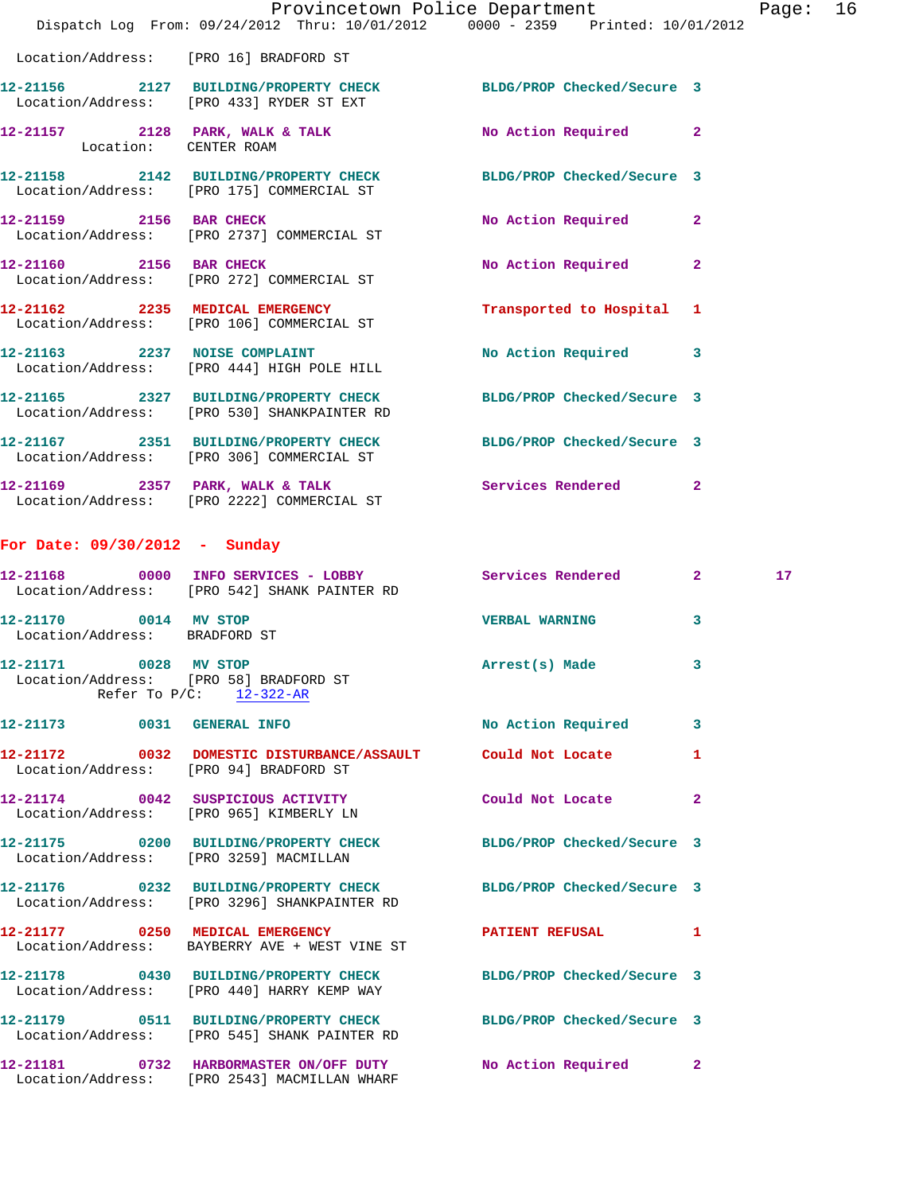|                                                        | Dispatch Log From: 09/24/2012 Thru: 10/01/2012 0000 - 2359 Printed: 10/01/2012                                  | Provincetown Police Department |              | Page: 16 |  |
|--------------------------------------------------------|-----------------------------------------------------------------------------------------------------------------|--------------------------------|--------------|----------|--|
|                                                        | Location/Address: [PRO 16] BRADFORD ST                                                                          |                                |              |          |  |
|                                                        | 12-21156 2127 BUILDING/PROPERTY CHECK BLDG/PROP Checked/Secure 3<br>Location/Address: [PRO 433] RYDER ST EXT    |                                |              |          |  |
| Location: CENTER ROAM                                  | 12-21157 2128 PARK, WALK & TALK NO Action Required 2                                                            |                                |              |          |  |
|                                                        | 12-21158 2142 BUILDING/PROPERTY CHECK BLDG/PROP Checked/Secure 3<br>Location/Address: [PRO 175] COMMERCIAL ST   |                                |              |          |  |
|                                                        | 12-21159 2156 BAR CHECK<br>Location/Address: [PRO 2737] COMMERCIAL ST                                           | No Action Required             | $\mathbf{2}$ |          |  |
|                                                        | 12-21160 2156 BAR CHECK<br>Location/Address: [PRO 272] COMMERCIAL ST                                            | No Action Required             | $\mathbf{2}$ |          |  |
|                                                        | 12-21162 2235 MEDICAL EMERGENCY<br>Location/Address: [PRO 106] COMMERCIAL ST                                    | Transported to Hospital 1      |              |          |  |
|                                                        | 12-21163 2237 NOISE COMPLAINT<br>Location/Address: [PRO 444] HIGH POLE HILL                                     | No Action Required 3           |              |          |  |
|                                                        | 12-21165 2327 BUILDING/PROPERTY CHECK BLDG/PROP Checked/Secure 3<br>Location/Address: [PRO 530] SHANKPAINTER RD |                                |              |          |  |
|                                                        | 12-21167 2351 BUILDING/PROPERTY CHECK BLDG/PROP Checked/Secure 3<br>Location/Address: [PRO 306] COMMERCIAL ST   |                                |              |          |  |
|                                                        | 12-21169 2357 PARK, WALK & TALK STARE Services Rendered 2<br>Location/Address: [PRO 2222] COMMERCIAL ST         |                                |              |          |  |
| For Date: 09/30/2012 - Sunday                          |                                                                                                                 |                                |              |          |  |
|                                                        | 12-21168 0000 INFO SERVICES - LOBBY Services Rendered 2<br>Location/Address: [PRO 542] SHANK PAINTER RD         |                                |              | 17       |  |
| 12-21170 0014 MV STOP<br>Location/Address: BRADFORD ST |                                                                                                                 | <b>VERBAL WARNING</b>          | 3            |          |  |
| 12-21171 0028 MV STOP                                  | Location/Address: [PRO 58] BRADFORD ST<br>Refer To $P/C:$ 12-322-AR                                             | Arrest(s) Made                 | 3            |          |  |
| 12-21173 0031 GENERAL INFO                             |                                                                                                                 | No Action Required             | 3            |          |  |
|                                                        | 12-21172 0032 DOMESTIC DISTURBANCE/ASSAULT<br>Location/Address: [PRO 94] BRADFORD ST                            | Could Not Locate               | 1            |          |  |
|                                                        | 12-21174 0042 SUSPICIOUS ACTIVITY<br>Location/Address: [PRO 965] KIMBERLY LN                                    | Could Not Locate               | $\mathbf{2}$ |          |  |
|                                                        | 12-21175 0200 BUILDING/PROPERTY CHECK<br>Location/Address: [PRO 3259] MACMILLAN                                 | BLDG/PROP Checked/Secure 3     |              |          |  |
|                                                        | 12-21176 0232 BUILDING/PROPERTY CHECK<br>Location/Address: [PRO 3296] SHANKPAINTER RD                           | BLDG/PROP Checked/Secure 3     |              |          |  |
|                                                        | 12-21177 0250 MEDICAL EMERGENCY<br>Location/Address: BAYBERRY AVE + WEST VINE ST                                | <b>PATIENT REFUSAL</b>         | 1            |          |  |
|                                                        | 12-21178 0430 BUILDING/PROPERTY CHECK BLDG/PROP Checked/Secure 3<br>Location/Address: [PRO 440] HARRY KEMP WAY  |                                |              |          |  |
|                                                        | 12-21179 0511 BUILDING/PROPERTY CHECK<br>Location/Address: [PRO 545] SHANK PAINTER RD                           | BLDG/PROP Checked/Secure 3     |              |          |  |
|                                                        | 12-21181 0732 HARBORMASTER ON/OFF DUTY<br>Location/Address: [PRO 2543] MACMILLAN WHARF                          | No Action Required             | $\mathbf{2}$ |          |  |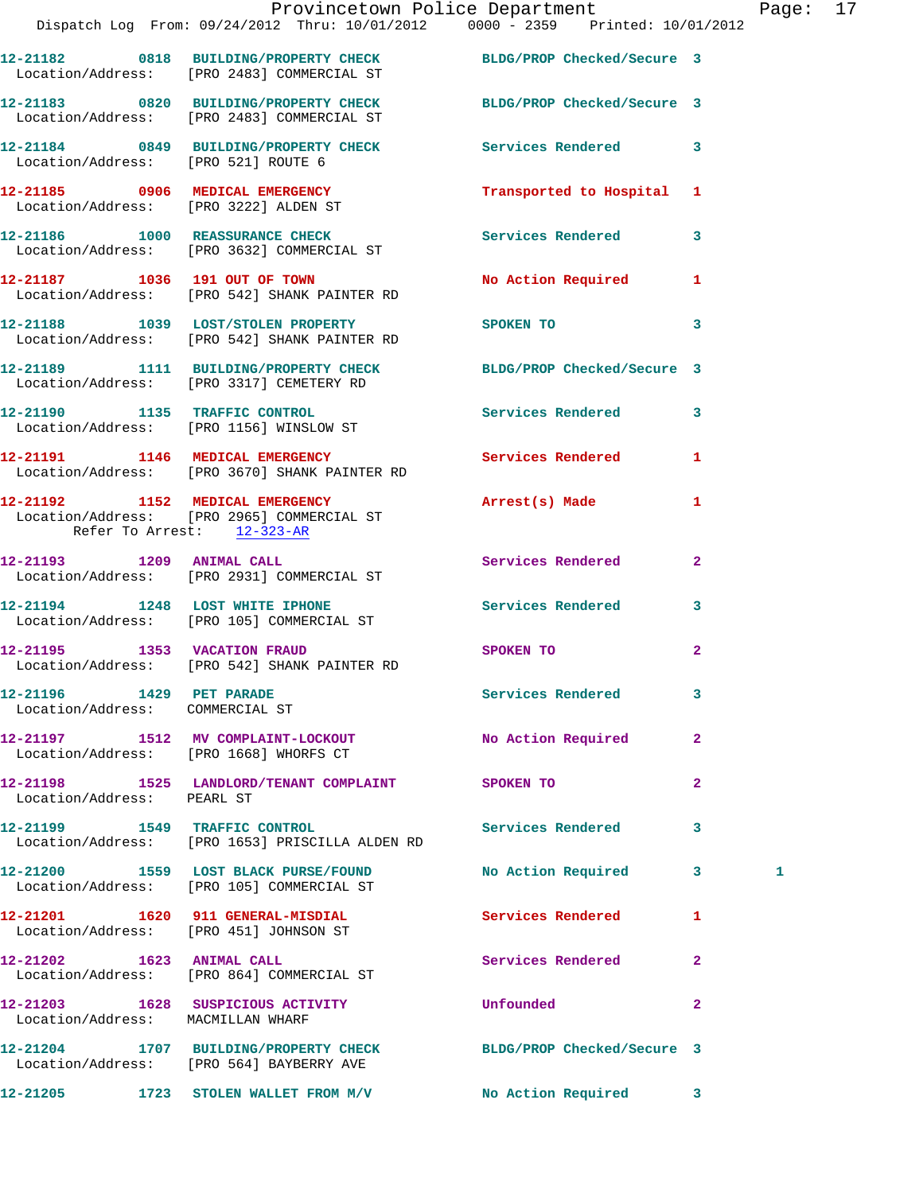|                                                             | Provincetown Police Department Page: 17<br>Dispatch Log From: 09/24/2012 Thru: 10/01/2012  0000 - 2359  Printed: 10/01/2012 |                                                                                                                |                         |   |  |
|-------------------------------------------------------------|-----------------------------------------------------------------------------------------------------------------------------|----------------------------------------------------------------------------------------------------------------|-------------------------|---|--|
|                                                             | 12-21182 0818 BUILDING/PROPERTY CHECK BLDG/PROP Checked/Secure 3<br>Location/Address: [PRO 2483] COMMERCIAL ST              |                                                                                                                |                         |   |  |
|                                                             | 12-21183 0820 BUILDING/PROPERTY CHECK BLDG/PROP Checked/Secure 3<br>Location/Address: [PRO 2483] COMMERCIAL ST              |                                                                                                                |                         |   |  |
| Location/Address: [PRO 521] ROUTE 6                         | 12-21184 0849 BUILDING/PROPERTY CHECK Services Rendered 3                                                                   |                                                                                                                |                         |   |  |
|                                                             | 12-21185 0906 MEDICAL EMERGENCY<br>Location/Address: [PRO 3222] ALDEN ST                                                    | Transported to Hospital 1                                                                                      |                         |   |  |
|                                                             | 12-21186 1000 REASSURANCE CHECK<br>Location/Address: [PRO 3632] COMMERCIAL ST                                               | Services Rendered 3                                                                                            |                         |   |  |
|                                                             | 12-21187 1036 191 OUT OF TOWN<br>Location/Address: [PRO 542] SHANK PAINTER RD                                               | No Action Required 1                                                                                           |                         |   |  |
|                                                             | 12-21188 1039 LOST/STOLEN PROPERTY<br>Location/Address: [PRO 542] SHANK PAINTER RD                                          | SPOKEN TO THE STREET OF THE STREET OF THE STREET OF THE STREET OF THE STREET OF THE STREET OF THE STREET OF TH | $\overline{\mathbf{3}}$ |   |  |
|                                                             | 12-21189 1111 BUILDING/PROPERTY CHECK BLDG/PROP Checked/Secure 3<br>Location/Address: [PRO 3317] CEMETERY RD                |                                                                                                                |                         |   |  |
|                                                             |                                                                                                                             | Services Rendered 3                                                                                            |                         |   |  |
|                                                             | 12-21191 1146 MEDICAL EMERGENCY<br>Location/Address: [PRO 3670] SHANK PAINTER RD                                            | Services Rendered 1                                                                                            |                         |   |  |
| Refer To Arrest: 12-323-AR                                  | 12-21192 1152 MEDICAL EMERGENCY<br>Location/Address: [PRO 2965] COMMERCIAL ST                                               | Arrest(s) Made                                                                                                 | $\mathbf{1}$            |   |  |
|                                                             | 12-21193 1209 ANIMAL CALL<br>Location/Address: [PRO 2931] COMMERCIAL ST                                                     | Services Rendered                                                                                              | $\mathbf{2}$            |   |  |
|                                                             | 12-21194 1248 LOST WHITE IPHONE 5ervices Rendered 3<br>Location/Address: [PRO 105] COMMERCIAL ST                            |                                                                                                                |                         |   |  |
|                                                             | 12-21195 1353 VACATION FRAUD<br>Location/Address: [PRO 542] SHANK PAINTER RD                                                | SPOKEN TO                                                                                                      | $\mathbf{2}$            |   |  |
| 12-21196 1429 PET PARADE<br>Location/Address: COMMERCIAL ST |                                                                                                                             | Services Rendered                                                                                              | 3                       |   |  |
|                                                             | 12-21197 1512 MV COMPLAINT-LOCKOUT No Action Required 2<br>Location/Address: [PRO 1668] WHORFS CT                           |                                                                                                                |                         |   |  |
| Location/Address: PEARL ST                                  | 12-21198 1525 LANDLORD/TENANT COMPLAINT SPOKEN TO                                                                           |                                                                                                                | $\mathbf{2}$            |   |  |
|                                                             | 12-21199 1549 TRAFFIC CONTROL<br>Location/Address: [PRO 1653] PRISCILLA ALDEN RD                                            | Services Rendered                                                                                              | 3                       |   |  |
|                                                             | 12-21200 1559 LOST BLACK PURSE/FOUND<br>Location/Address: [PRO 105] COMMERCIAL ST                                           | No Action Required 3                                                                                           |                         | 1 |  |
|                                                             | Location/Address: [PRO 451] JOHNSON ST                                                                                      | Services Rendered                                                                                              | 1                       |   |  |
|                                                             | 12-21202 1623 ANIMAL CALL<br>Location/Address: [PRO 864] COMMERCIAL ST                                                      | Services Rendered 2                                                                                            |                         |   |  |
| Location/Address: MACMILLAN WHARF                           | 12-21203 1628 SUSPICIOUS ACTIVITY                                                                                           | Unfounded                                                                                                      | $\mathbf{2}$            |   |  |
|                                                             | 12-21204 1707 BUILDING/PROPERTY CHECK BLDG/PROP Checked/Secure 3<br>Location/Address: [PRO 564] BAYBERRY AVE                |                                                                                                                |                         |   |  |
|                                                             | 12-21205 1723 STOLEN WALLET FROM M/V                                                                                        | <b>No Action Required</b>                                                                                      | $\mathbf{3}$            |   |  |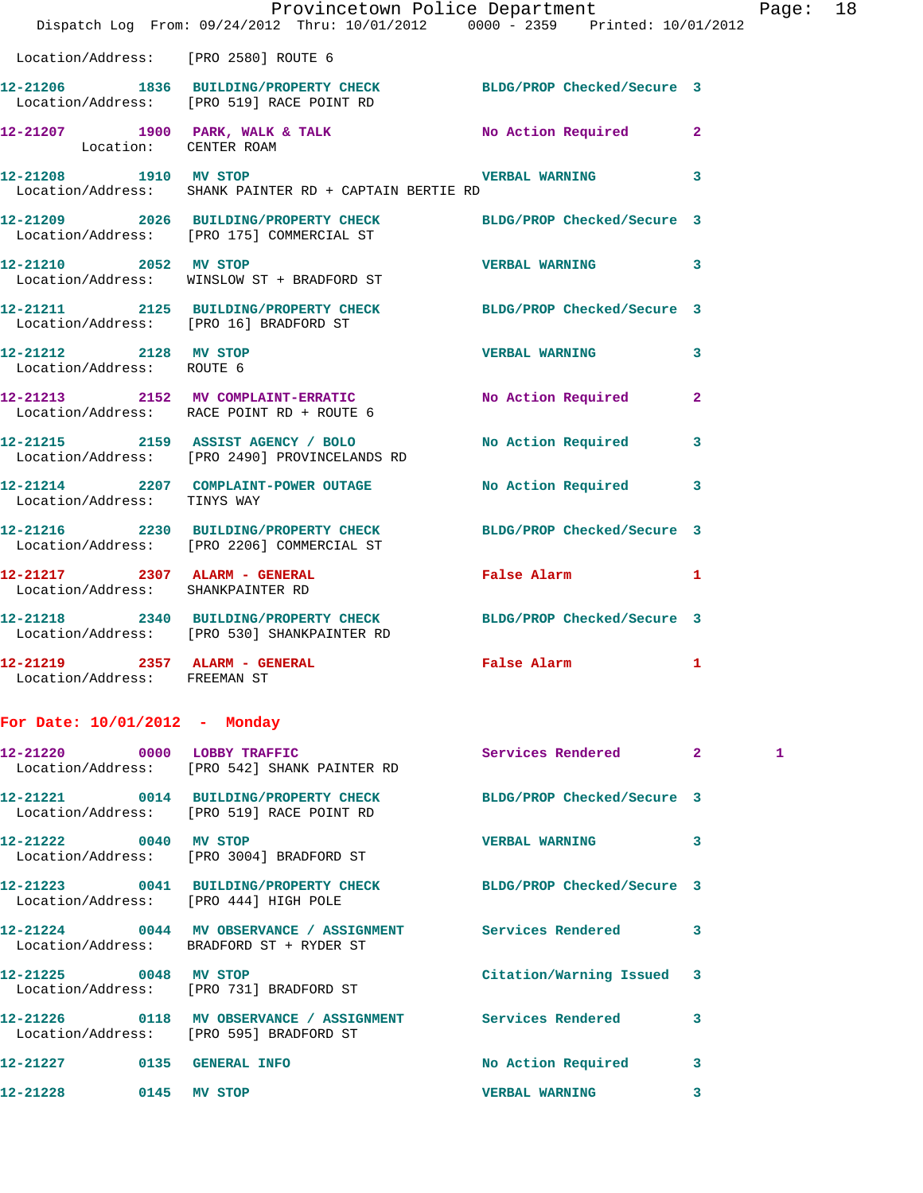|                                                               | Provincetown Police Department                                                                                  |                            |                         |
|---------------------------------------------------------------|-----------------------------------------------------------------------------------------------------------------|----------------------------|-------------------------|
|                                                               | Dispatch Log From: 09/24/2012 Thru: 10/01/2012 0000 - 2359 Printed: 10/01/2012                                  |                            |                         |
|                                                               | Location/Address: [PRO 2580] ROUTE 6                                                                            |                            |                         |
|                                                               | 12-21206 1836 BUILDING/PROPERTY CHECK BLDG/PROP Checked/Secure 3<br>Location/Address: [PRO 519] RACE POINT RD   |                            |                         |
| Location: CENTER ROAM                                         | 12-21207 1900 PARK, WALK & TALK                                                                                 | <b>No Action Required</b>  | $\mathbf{2}$            |
| 12-21208 1910 MV STOP                                         | Location/Address: SHANK PAINTER RD + CAPTAIN BERTIE RD                                                          | <b>VERBAL WARNING</b>      | $\overline{\mathbf{3}}$ |
|                                                               | 12-21209 2026 BUILDING/PROPERTY CHECK BLDG/PROP Checked/Secure 3<br>Location/Address: [PRO 175] COMMERCIAL ST   |                            |                         |
| 12-21210 2052 MV STOP                                         | Location/Address: WINSLOW ST + BRADFORD ST                                                                      | <b>VERBAL WARNING</b>      | 3                       |
|                                                               | 12-21211 2125 BUILDING/PROPERTY CHECK BLDG/PROP Checked/Secure 3<br>Location/Address: [PRO 16] BRADFORD ST      |                            |                         |
| 12-21212 2128 MV STOP<br>Location/Address: ROUTE 6            |                                                                                                                 | <b>VERBAL WARNING</b>      | 3                       |
|                                                               | 12-21213 2152 MV COMPLAINT-ERRATIC<br>Location/Address: RACE POINT RD + ROUTE 6                                 | No Action Required         | $\overline{a}$          |
|                                                               | 12-21215 2159 ASSIST AGENCY / BOLO<br>Location/Address: [PRO 2490] PROVINCELANDS RD                             | No Action Required         | 3                       |
| Location/Address: TINYS WAY                                   | 12-21214 2207 COMPLAINT-POWER OUTAGE                                                                            | No Action Required         | 3                       |
|                                                               | 12-21216 2230 BUILDING/PROPERTY CHECK<br>Location/Address: [PRO 2206] COMMERCIAL ST                             | BLDG/PROP Checked/Secure 3 |                         |
| Location/Address: SHANKPAINTER RD                             | 12-21217 2307 ALARM - GENERAL                                                                                   | False Alarm                | 1                       |
|                                                               | 12-21218 2340 BUILDING/PROPERTY CHECK BLDG/PROP Checked/Secure 3<br>Location/Address: [PRO 530] SHANKPAINTER RD |                            |                         |
| 12-21219 2357 ALARM - GENERAL<br>Location/Address: FREEMAN ST |                                                                                                                 | False Alarm                | 1                       |
| For Date: $10/01/2012$ - Monday                               |                                                                                                                 |                            |                         |

Page: 18

| 12-21220 0000 LOBBY TRAFFIC | Location/Address: [PRO 542] SHANK PAINTER RD                                                                       | Services Rendered 2       |   | $\mathbf{1}$ |
|-----------------------------|--------------------------------------------------------------------------------------------------------------------|---------------------------|---|--------------|
|                             | 12-21221 0014 BUILDING/PROPERTY CHECK BLDG/PROP Checked/Secure 3<br>Location/Address: [PRO 519] RACE POINT RD      |                           |   |              |
| 12-21222 0040 MV STOP       | Location/Address: [PRO 3004] BRADFORD ST                                                                           | <b>VERBAL WARNING</b>     | 3 |              |
|                             | 12-21223 0041 BUILDING/PROPERTY CHECK BLDG/PROP Checked/Secure 3<br>Location/Address: [PRO 444] HIGH POLE          |                           |   |              |
|                             | 12-21224      0044   MV OBSERVANCE / ASSIGNMENT      Services Rendered<br>Location/Address: BRADFORD ST + RYDER ST |                           | 3 |              |
| 12-21225 0048 MV STOP       | Location/Address: [PRO 731] BRADFORD ST                                                                            | Citation/Warning Issued 3 |   |              |
|                             | 12-21226      0118   MV OBSERVANCE / ASSIGNMENT      Services Rendered<br>Location/Address: [PRO 595] BRADFORD ST  |                           | 3 |              |
| 12-21227 0135 GENERAL INFO  |                                                                                                                    | No Action Required        | 3 |              |
| 12-21228                    | 0145 MV STOP                                                                                                       | <b>VERBAL WARNING</b>     | 3 |              |